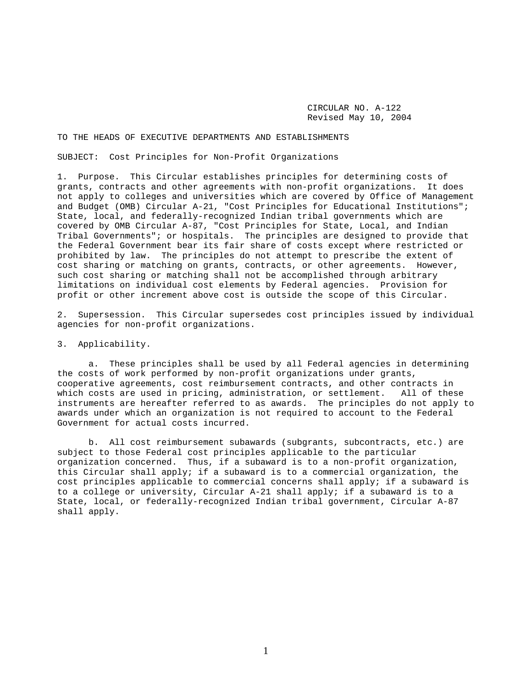CIRCULAR NO. A-122 Revised May 10, 2004

## TO THE HEADS OF EXECUTIVE DEPARTMENTS AND ESTABLISHMENTS

SUBJECT: Cost Principles for Non-Profit Organizations

1. Purpose. This Circular establishes principles for determining costs of grants, contracts and other agreements with non-profit organizations. It does not apply to colleges and universities which are covered by Office of Management and Budget (OMB) Circular A-21, "Cost Principles for Educational Institutions"; State, local, and federally-recognized Indian tribal governments which are covered by OMB Circular A-87, "Cost Principles for State, Local, and Indian Tribal Governments"; or hospitals. The principles are designed to provide that the Federal Government bear its fair share of costs except where restricted or prohibited by law. The principles do not attempt to prescribe the extent of cost sharing or matching on grants, contracts, or other agreements. However, such cost sharing or matching shall not be accomplished through arbitrary limitations on individual cost elements by Federal agencies. Provision for profit or other increment above cost is outside the scope of this Circular.

2. Supersession. This Circular supersedes cost principles issued by individual agencies for non-profit organizations.

3. Applicability.

a. These principles shall be used by all Federal agencies in determining the costs of work performed by non-profit organizations under grants, cooperative agreements, cost reimbursement contracts, and other contracts in which costs are used in pricing, administration, or settlement. All of these instruments are hereafter referred to as awards. The principles do not apply to awards under which an organization is not required to account to the Federal Government for actual costs incurred.

b. All cost reimbursement subawards (subgrants, subcontracts, etc.) are subject to those Federal cost principles applicable to the particular organization concerned. Thus, if a subaward is to a non-profit organization, this Circular shall apply; if a subaward is to a commercial organization, the cost principles applicable to commercial concerns shall apply; if a subaward is to a college or university, Circular A-21 shall apply; if a subaward is to a State, local, or federally-recognized Indian tribal government, Circular A-87 shall apply.

1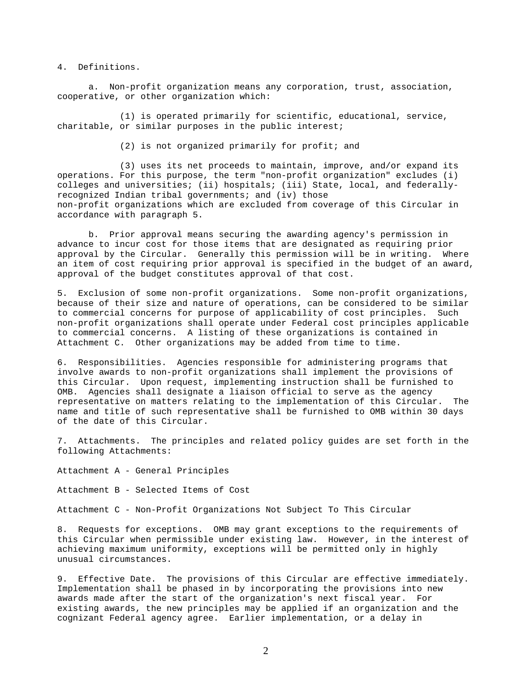### 4. Definitions.

a. Non-profit organization means any corporation, trust, association, cooperative, or other organization which:

(1) is operated primarily for scientific, educational, service, charitable, or similar purposes in the public interest;

(2) is not organized primarily for profit; and

(3) uses its net proceeds to maintain, improve, and/or expand its operations. For this purpose, the term "non-profit organization" excludes (i) colleges and universities; (ii) hospitals; (iii) State, local, and federallyrecognized Indian tribal governments; and (iv) those non-profit organizations which are excluded from coverage of this Circular in accordance with paragraph 5.

b. Prior approval means securing the awarding agency's permission in advance to incur cost for those items that are designated as requiring prior approval by the Circular. Generally this permission will be in writing. Where an item of cost requiring prior approval is specified in the budget of an award, approval of the budget constitutes approval of that cost.

5. Exclusion of some non-profit organizations. Some non-profit organizations, because of their size and nature of operations, can be considered to be similar to commercial concerns for purpose of applicability of cost principles. Such non-profit organizations shall operate under Federal cost principles applicable to commercial concerns. A listing of these organizations is contained in Attachment C. Other organizations may be added from time to time.

6. Responsibilities. Agencies responsible for administering programs that involve awards to non-profit organizations shall implement the provisions of this Circular. Upon request, implementing instruction shall be furnished to OMB. Agencies shall designate a liaison official to serve as the agency representative on matters relating to the implementation of this Circular. The name and title of such representative shall be furnished to OMB within 30 days of the date of this Circular.

7. Attachments. The principles and related policy guides are set forth in the following Attachments:

Attachment A - General Principles

Attachment B - Selected Items of Cost

Attachment C - Non-Profit Organizations Not Subject To This Circular

8. Requests for exceptions. OMB may grant exceptions to the requirements of this Circular when permissible under existing law. However, in the interest of achieving maximum uniformity, exceptions will be permitted only in highly unusual circumstances.

9. Effective Date. The provisions of this Circular are effective immediately. Implementation shall be phased in by incorporating the provisions into new awards made after the start of the organization's next fiscal year. For existing awards, the new principles may be applied if an organization and the cognizant Federal agency agree. Earlier implementation, or a delay in

2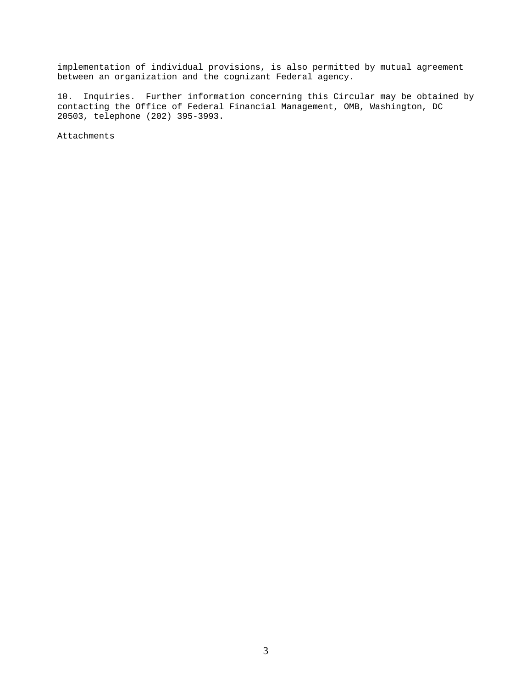implementation of individual provisions, is also permitted by mutual agreement between an organization and the cognizant Federal agency.

10. Inquiries. Further information concerning this Circular may be obtained by contacting the Office of Federal Financial Management, OMB, Washington, DC 20503, telephone (202) 395-3993.

Attachments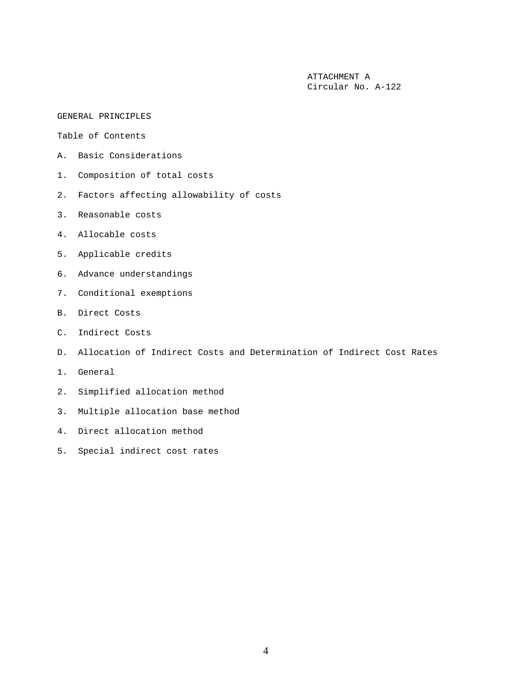ATTACHMENT A Circular No. A-122

GENERAL PRINCIPLES

Table of Contents

- A. Basic Considerations
- 1. Composition of total costs
- 2. Factors affecting allowability of costs
- 3. Reasonable costs
- 4. Allocable costs
- 5. Applicable credits
- 6. Advance understandings
- 7. Conditional exemptions
- B. Direct Costs
- C. Indirect Costs
- D. Allocation of Indirect Costs and Determination of Indirect Cost Rates
- 1. General
- 2. Simplified allocation method
- 3. Multiple allocation base method
- 4. Direct allocation method
- 5. Special indirect cost rates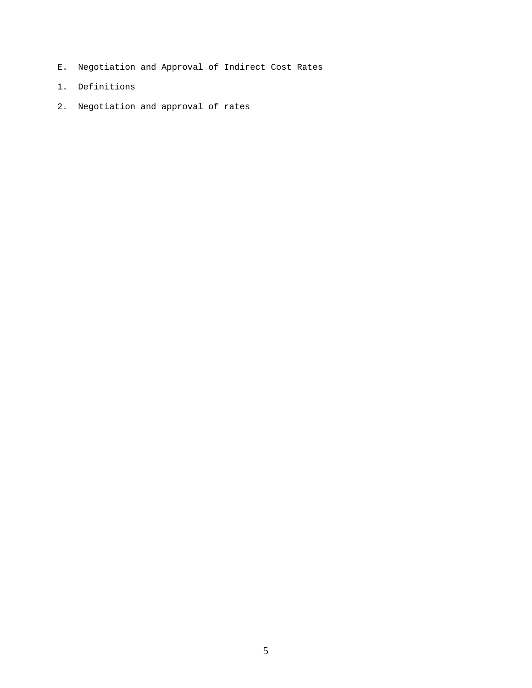- E. Negotiation and Approval of Indirect Cost Rates
- 1. Definitions
- 2. Negotiation and approval of rates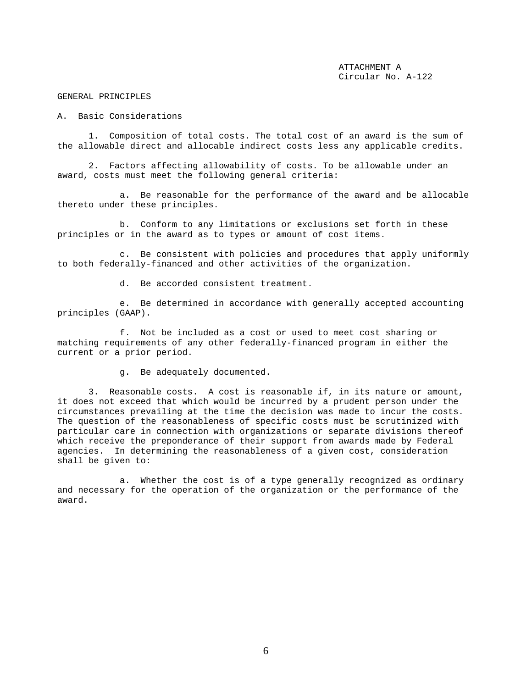GENERAL PRINCIPLES

A. Basic Considerations

1. Composition of total costs. The total cost of an award is the sum of the allowable direct and allocable indirect costs less any applicable credits.

2. Factors affecting allowability of costs. To be allowable under an award, costs must meet the following general criteria:

a. Be reasonable for the performance of the award and be allocable thereto under these principles.

b. Conform to any limitations or exclusions set forth in these principles or in the award as to types or amount of cost items.

c. Be consistent with policies and procedures that apply uniformly to both federally-financed and other activities of the organization.

d. Be accorded consistent treatment.

e. Be determined in accordance with generally accepted accounting principles (GAAP).

f. Not be included as a cost or used to meet cost sharing or matching requirements of any other federally-financed program in either the current or a prior period.

g. Be adequately documented.

3. Reasonable costs. A cost is reasonable if, in its nature or amount, it does not exceed that which would be incurred by a prudent person under the circumstances prevailing at the time the decision was made to incur the costs. The question of the reasonableness of specific costs must be scrutinized with particular care in connection with organizations or separate divisions thereof which receive the preponderance of their support from awards made by Federal agencies. In determining the reasonableness of a given cost, consideration shall be given to:

a. Whether the cost is of a type generally recognized as ordinary and necessary for the operation of the organization or the performance of the award.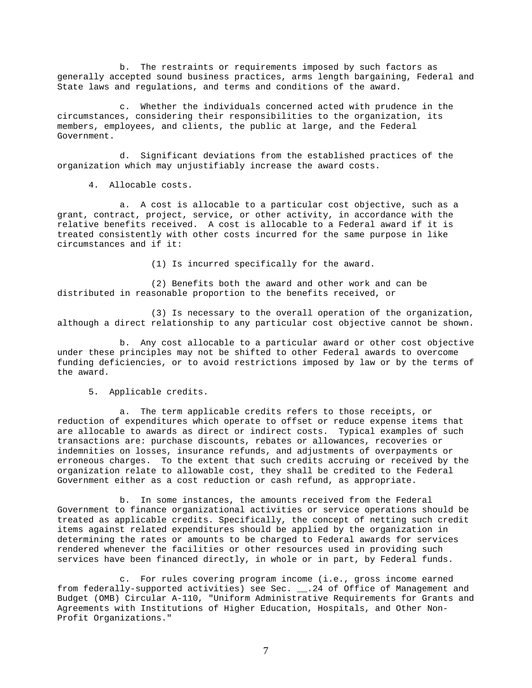b. The restraints or requirements imposed by such factors as generally accepted sound business practices, arms length bargaining, Federal and State laws and regulations, and terms and conditions of the award.

c. Whether the individuals concerned acted with prudence in the circumstances, considering their responsibilities to the organization, its members, employees, and clients, the public at large, and the Federal Government.

d. Significant deviations from the established practices of the organization which may unjustifiably increase the award costs.

4. Allocable costs.

a. A cost is allocable to a particular cost objective, such as a grant, contract, project, service, or other activity, in accordance with the relative benefits received. A cost is allocable to a Federal award if it is treated consistently with other costs incurred for the same purpose in like circumstances and if it:

(1) Is incurred specifically for the award.

(2) Benefits both the award and other work and can be distributed in reasonable proportion to the benefits received, or

(3) Is necessary to the overall operation of the organization, although a direct relationship to any particular cost objective cannot be shown.

b. Any cost allocable to a particular award or other cost objective under these principles may not be shifted to other Federal awards to overcome funding deficiencies, or to avoid restrictions imposed by law or by the terms of the award.

5. Applicable credits.

a. The term applicable credits refers to those receipts, or reduction of expenditures which operate to offset or reduce expense items that are allocable to awards as direct or indirect costs. Typical examples of such transactions are: purchase discounts, rebates or allowances, recoveries or indemnities on losses, insurance refunds, and adjustments of overpayments or erroneous charges. To the extent that such credits accruing or received by the organization relate to allowable cost, they shall be credited to the Federal Government either as a cost reduction or cash refund, as appropriate.

b. In some instances, the amounts received from the Federal Government to finance organizational activities or service operations should be treated as applicable credits. Specifically, the concept of netting such credit items against related expenditures should be applied by the organization in determining the rates or amounts to be charged to Federal awards for services rendered whenever the facilities or other resources used in providing such services have been financed directly, in whole or in part, by Federal funds.

c. For rules covering program income (i.e., gross income earned from federally-supported activities) see Sec. \_\_.24 of Office of Management and Budget (OMB) Circular A-110, "Uniform Administrative Requirements for Grants and Agreements with Institutions of Higher Education, Hospitals, and Other Non-Profit Organizations."

7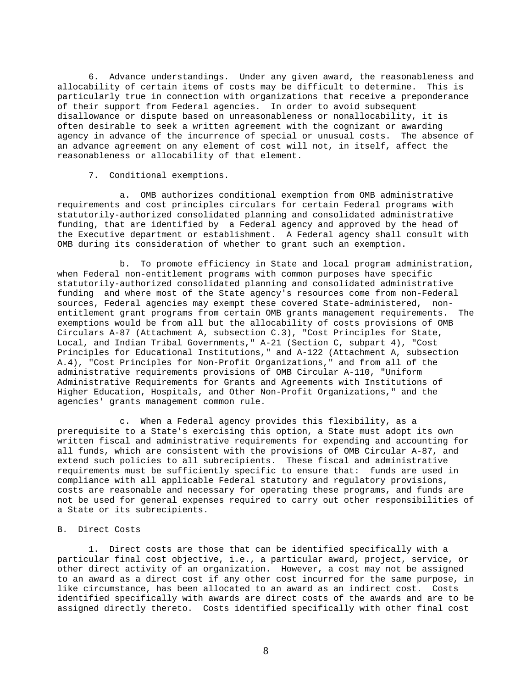6. Advance understandings. Under any given award, the reasonableness and allocability of certain items of costs may be difficult to determine. This is particularly true in connection with organizations that receive a preponderance of their support from Federal agencies. In order to avoid subsequent disallowance or dispute based on unreasonableness or nonallocability, it is often desirable to seek a written agreement with the cognizant or awarding agency in advance of the incurrence of special or unusual costs. The absence of an advance agreement on any element of cost will not, in itself, affect the reasonableness or allocability of that element.

#### 7. Conditional exemptions.

a. OMB authorizes conditional exemption from OMB administrative requirements and cost principles circulars for certain Federal programs with statutorily-authorized consolidated planning and consolidated administrative funding, that are identified by a Federal agency and approved by the head of the Executive department or establishment. A Federal agency shall consult with OMB during its consideration of whether to grant such an exemption.

b. To promote efficiency in State and local program administration, when Federal non-entitlement programs with common purposes have specific statutorily-authorized consolidated planning and consolidated administrative funding and where most of the State agency's resources come from non-Federal sources, Federal agencies may exempt these covered State-administered, nonentitlement grant programs from certain OMB grants management requirements. The exemptions would be from all but the allocability of costs provisions of OMB Circulars A-87 (Attachment A, subsection C.3), "Cost Principles for State, Local, and Indian Tribal Governments," A-21 (Section C, subpart 4), "Cost Principles for Educational Institutions," and A-122 (Attachment A, subsection A.4), "Cost Principles for Non-Profit Organizations," and from all of the administrative requirements provisions of OMB Circular A-110, "Uniform Administrative Requirements for Grants and Agreements with Institutions of Higher Education, Hospitals, and Other Non-Profit Organizations," and the agencies' grants management common rule.

c. When a Federal agency provides this flexibility, as a prerequisite to a State's exercising this option, a State must adopt its own written fiscal and administrative requirements for expending and accounting for all funds, which are consistent with the provisions of OMB Circular A-87, and extend such policies to all subrecipients. These fiscal and administrative requirements must be sufficiently specific to ensure that: funds are used in compliance with all applicable Federal statutory and regulatory provisions, costs are reasonable and necessary for operating these programs, and funds are not be used for general expenses required to carry out other responsibilities of a State or its subrecipients.

### B. Direct Costs

1. Direct costs are those that can be identified specifically with a particular final cost objective, i.e., a particular award, project, service, or other direct activity of an organization. However, a cost may not be assigned to an award as a direct cost if any other cost incurred for the same purpose, in like circumstance, has been allocated to an award as an indirect cost. Costs identified specifically with awards are direct costs of the awards and are to be assigned directly thereto. Costs identified specifically with other final cost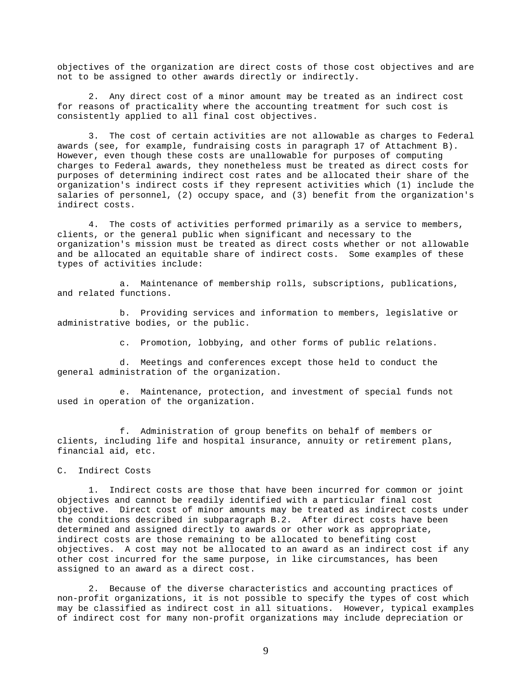objectives of the organization are direct costs of those cost objectives and are not to be assigned to other awards directly or indirectly.

2. Any direct cost of a minor amount may be treated as an indirect cost for reasons of practicality where the accounting treatment for such cost is consistently applied to all final cost objectives.

3. The cost of certain activities are not allowable as charges to Federal awards (see, for example, fundraising costs in paragraph 17 of Attachment B). However, even though these costs are unallowable for purposes of computing charges to Federal awards, they nonetheless must be treated as direct costs for purposes of determining indirect cost rates and be allocated their share of the organization's indirect costs if they represent activities which (1) include the salaries of personnel, (2) occupy space, and (3) benefit from the organization's indirect costs.

4. The costs of activities performed primarily as a service to members, clients, or the general public when significant and necessary to the organization's mission must be treated as direct costs whether or not allowable and be allocated an equitable share of indirect costs. Some examples of these types of activities include:

a. Maintenance of membership rolls, subscriptions, publications, and related functions.

b. Providing services and information to members, legislative or administrative bodies, or the public.

c. Promotion, lobbying, and other forms of public relations.

d. Meetings and conferences except those held to conduct the general administration of the organization.

e. Maintenance, protection, and investment of special funds not used in operation of the organization.

f. Administration of group benefits on behalf of members or clients, including life and hospital insurance, annuity or retirement plans, financial aid, etc.

## C. Indirect Costs

1. Indirect costs are those that have been incurred for common or joint objectives and cannot be readily identified with a particular final cost objective. Direct cost of minor amounts may be treated as indirect costs under the conditions described in subparagraph B.2. After direct costs have been determined and assigned directly to awards or other work as appropriate, indirect costs are those remaining to be allocated to benefiting cost objectives. A cost may not be allocated to an award as an indirect cost if any other cost incurred for the same purpose, in like circumstances, has been assigned to an award as a direct cost.

2. Because of the diverse characteristics and accounting practices of non-profit organizations, it is not possible to specify the types of cost which may be classified as indirect cost in all situations. However, typical examples of indirect cost for many non-profit organizations may include depreciation or

9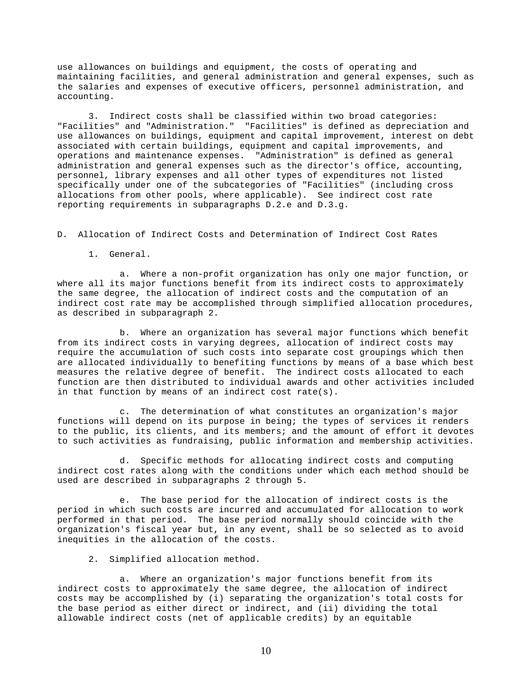use allowances on buildings and equipment, the costs of operating and maintaining facilities, and general administration and general expenses, such as the salaries and expenses of executive officers, personnel administration, and accounting.

3. Indirect costs shall be classified within two broad categories: "Facilities" and "Administration." "Facilities" is defined as depreciation and use allowances on buildings, equipment and capital improvement, interest on debt associated with certain buildings, equipment and capital improvements, and operations and maintenance expenses. "Administration" is defined as general administration and general expenses such as the director's office, accounting, personnel, library expenses and all other types of expenditures not listed specifically under one of the subcategories of "Facilities" (including cross allocations from other pools, where applicable). See indirect cost rate reporting requirements in subparagraphs D.2.e and D.3.g.

D. Allocation of Indirect Costs and Determination of Indirect Cost Rates

1. General.

a. Where a non-profit organization has only one major function, or where all its major functions benefit from its indirect costs to approximately the same degree, the allocation of indirect costs and the computation of an indirect cost rate may be accomplished through simplified allocation procedures, as described in subparagraph 2.

b. Where an organization has several major functions which benefit from its indirect costs in varying degrees, allocation of indirect costs may require the accumulation of such costs into separate cost groupings which then are allocated individually to benefiting functions by means of a base which best measures the relative degree of benefit. The indirect costs allocated to each function are then distributed to individual awards and other activities included in that function by means of an indirect cost rate(s).

c. The determination of what constitutes an organization's major functions will depend on its purpose in being; the types of services it renders to the public, its clients, and its members; and the amount of effort it devotes to such activities as fundraising, public information and membership activities.

d. Specific methods for allocating indirect costs and computing indirect cost rates along with the conditions under which each method should be used are described in subparagraphs 2 through 5.

e. The base period for the allocation of indirect costs is the period in which such costs are incurred and accumulated for allocation to work performed in that period. The base period normally should coincide with the organization's fiscal year but, in any event, shall be so selected as to avoid inequities in the allocation of the costs.

2. Simplified allocation method.

a. Where an organization's major functions benefit from its indirect costs to approximately the same degree, the allocation of indirect costs may be accomplished by (i) separating the organization's total costs for the base period as either direct or indirect, and (ii) dividing the total allowable indirect costs (net of applicable credits) by an equitable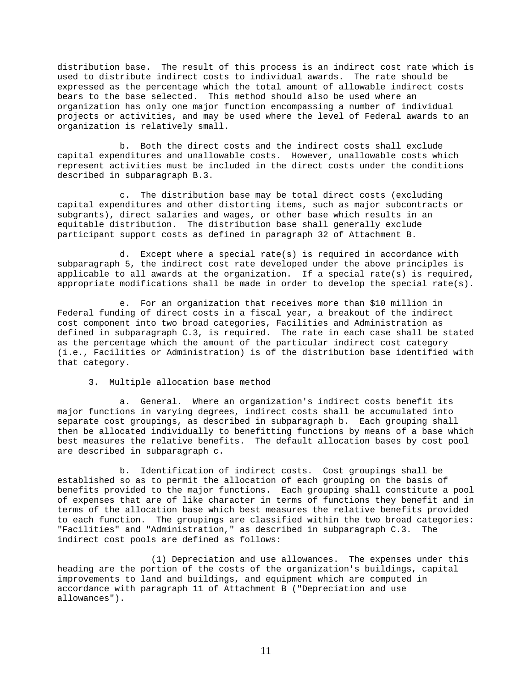distribution base. The result of this process is an indirect cost rate which is used to distribute indirect costs to individual awards. The rate should be expressed as the percentage which the total amount of allowable indirect costs bears to the base selected. This method should also be used where an organization has only one major function encompassing a number of individual projects or activities, and may be used where the level of Federal awards to an organization is relatively small.

b. Both the direct costs and the indirect costs shall exclude capital expenditures and unallowable costs. However, unallowable costs which represent activities must be included in the direct costs under the conditions described in subparagraph B.3.

c. The distribution base may be total direct costs (excluding capital expenditures and other distorting items, such as major subcontracts or subgrants), direct salaries and wages, or other base which results in an equitable distribution. The distribution base shall generally exclude participant support costs as defined in paragraph 32 of Attachment B.

d. Except where a special rate(s) is required in accordance with subparagraph 5, the indirect cost rate developed under the above principles is applicable to all awards at the organization. If a special rate(s) is required, appropriate modifications shall be made in order to develop the special rate(s).

e. For an organization that receives more than \$10 million in Federal funding of direct costs in a fiscal year, a breakout of the indirect cost component into two broad categories, Facilities and Administration as defined in subparagraph C.3, is required. The rate in each case shall be stated as the percentage which the amount of the particular indirect cost category (i.e., Facilities or Administration) is of the distribution base identified with that category.

3. Multiple allocation base method

a. General. Where an organization's indirect costs benefit its major functions in varying degrees, indirect costs shall be accumulated into separate cost groupings, as described in subparagraph b. Each grouping shall then be allocated individually to benefitting functions by means of a base which best measures the relative benefits. The default allocation bases by cost pool are described in subparagraph c.

b. Identification of indirect costs. Cost groupings shall be established so as to permit the allocation of each grouping on the basis of benefits provided to the major functions. Each grouping shall constitute a pool of expenses that are of like character in terms of functions they benefit and in terms of the allocation base which best measures the relative benefits provided to each function. The groupings are classified within the two broad categories: "Facilities" and "Administration," as described in subparagraph C.3. The indirect cost pools are defined as follows:

(1) Depreciation and use allowances. The expenses under this heading are the portion of the costs of the organization's buildings, capital improvements to land and buildings, and equipment which are computed in accordance with paragraph 11 of Attachment B ("Depreciation and use allowances").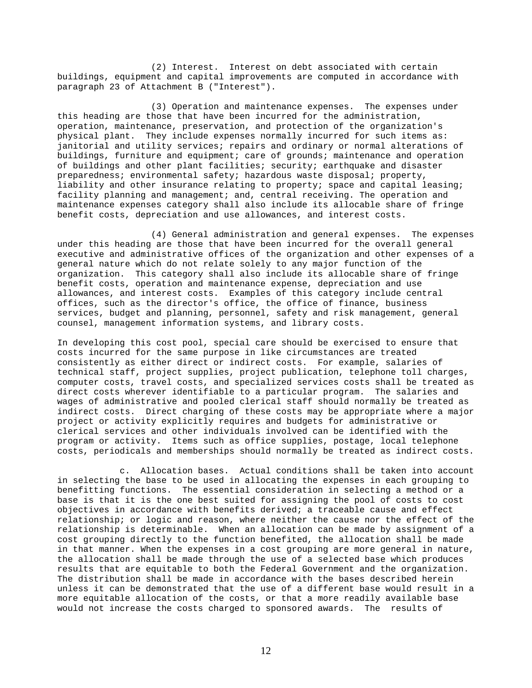(2) Interest. Interest on debt associated with certain buildings, equipment and capital improvements are computed in accordance with paragraph 23 of Attachment B ("Interest").

(3) Operation and maintenance expenses. The expenses under this heading are those that have been incurred for the administration, operation, maintenance, preservation, and protection of the organization's physical plant. They include expenses normally incurred for such items as: janitorial and utility services; repairs and ordinary or normal alterations of buildings, furniture and equipment; care of grounds; maintenance and operation of buildings and other plant facilities; security; earthquake and disaster preparedness; environmental safety; hazardous waste disposal; property, liability and other insurance relating to property; space and capital leasing; facility planning and management; and, central receiving. The operation and maintenance expenses category shall also include its allocable share of fringe benefit costs, depreciation and use allowances, and interest costs.

(4) General administration and general expenses. The expenses under this heading are those that have been incurred for the overall general executive and administrative offices of the organization and other expenses of a general nature which do not relate solely to any major function of the organization. This category shall also include its allocable share of fringe benefit costs, operation and maintenance expense, depreciation and use allowances, and interest costs. Examples of this category include central offices, such as the director's office, the office of finance, business services, budget and planning, personnel, safety and risk management, general counsel, management information systems, and library costs.

In developing this cost pool, special care should be exercised to ensure that costs incurred for the same purpose in like circumstances are treated consistently as either direct or indirect costs. For example, salaries of technical staff, project supplies, project publication, telephone toll charges, computer costs, travel costs, and specialized services costs shall be treated as direct costs wherever identifiable to a particular program. The salaries and wages of administrative and pooled clerical staff should normally be treated as indirect costs. Direct charging of these costs may be appropriate where a major project or activity explicitly requires and budgets for administrative or clerical services and other individuals involved can be identified with the program or activity. Items such as office supplies, postage, local telephone costs, periodicals and memberships should normally be treated as indirect costs.

c. Allocation bases. Actual conditions shall be taken into account in selecting the base to be used in allocating the expenses in each grouping to benefitting functions. The essential consideration in selecting a method or a base is that it is the one best suited for assigning the pool of costs to cost objectives in accordance with benefits derived; a traceable cause and effect relationship; or logic and reason, where neither the cause nor the effect of the relationship is determinable. When an allocation can be made by assignment of a cost grouping directly to the function benefited, the allocation shall be made in that manner. When the expenses in a cost grouping are more general in nature, the allocation shall be made through the use of a selected base which produces results that are equitable to both the Federal Government and the organization. The distribution shall be made in accordance with the bases described herein unless it can be demonstrated that the use of a different base would result in a more equitable allocation of the costs, or that a more readily available base would not increase the costs charged to sponsored awards. The results of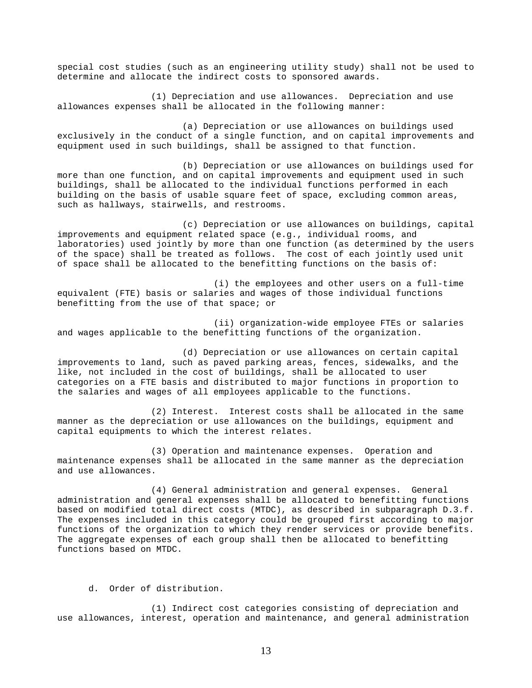special cost studies (such as an engineering utility study) shall not be used to determine and allocate the indirect costs to sponsored awards.

(1) Depreciation and use allowances. Depreciation and use allowances expenses shall be allocated in the following manner:

(a) Depreciation or use allowances on buildings used exclusively in the conduct of a single function, and on capital improvements and equipment used in such buildings, shall be assigned to that function.

(b) Depreciation or use allowances on buildings used for more than one function, and on capital improvements and equipment used in such buildings, shall be allocated to the individual functions performed in each building on the basis of usable square feet of space, excluding common areas, such as hallways, stairwells, and restrooms.

(c) Depreciation or use allowances on buildings, capital improvements and equipment related space (e.g., individual rooms, and laboratories) used jointly by more than one function (as determined by the users of the space) shall be treated as follows. The cost of each jointly used unit of space shall be allocated to the benefitting functions on the basis of:

(i) the employees and other users on a full-time equivalent (FTE) basis or salaries and wages of those individual functions benefitting from the use of that space; or

 (ii) organization-wide employee FTEs or salaries and wages applicable to the benefitting functions of the organization.

(d) Depreciation or use allowances on certain capital improvements to land, such as paved parking areas, fences, sidewalks, and the like, not included in the cost of buildings, shall be allocated to user categories on a FTE basis and distributed to major functions in proportion to the salaries and wages of all employees applicable to the functions.

(2) Interest. Interest costs shall be allocated in the same manner as the depreciation or use allowances on the buildings, equipment and capital equipments to which the interest relates.

(3) Operation and maintenance expenses. Operation and maintenance expenses shall be allocated in the same manner as the depreciation and use allowances.

(4) General administration and general expenses. General administration and general expenses shall be allocated to benefitting functions based on modified total direct costs (MTDC), as described in subparagraph D.3.f. The expenses included in this category could be grouped first according to major functions of the organization to which they render services or provide benefits. The aggregate expenses of each group shall then be allocated to benefitting functions based on MTDC.

d. Order of distribution.

(1) Indirect cost categories consisting of depreciation and use allowances, interest, operation and maintenance, and general administration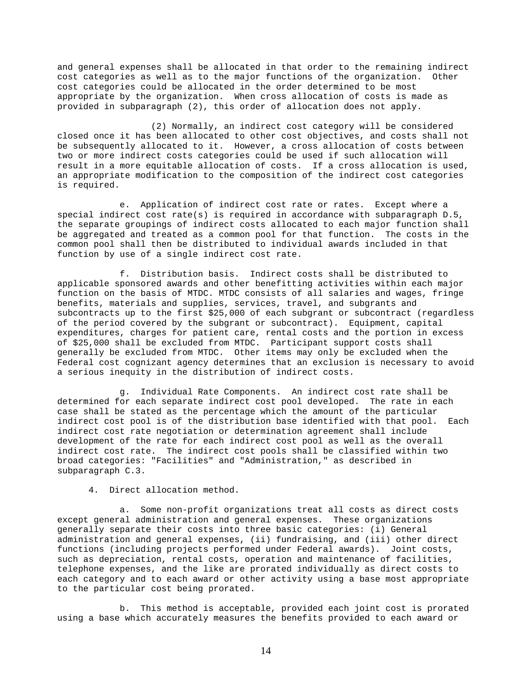and general expenses shall be allocated in that order to the remaining indirect cost categories as well as to the major functions of the organization. Other cost categories could be allocated in the order determined to be most appropriate by the organization. When cross allocation of costs is made as provided in subparagraph (2), this order of allocation does not apply.

(2) Normally, an indirect cost category will be considered closed once it has been allocated to other cost objectives, and costs shall not be subsequently allocated to it. However, a cross allocation of costs between two or more indirect costs categories could be used if such allocation will result in a more equitable allocation of costs. If a cross allocation is used, an appropriate modification to the composition of the indirect cost categories is required.

e. Application of indirect cost rate or rates. Except where a special indirect cost rate(s) is required in accordance with subparagraph D.5, the separate groupings of indirect costs allocated to each major function shall be aggregated and treated as a common pool for that function. The costs in the common pool shall then be distributed to individual awards included in that function by use of a single indirect cost rate.

f. Distribution basis. Indirect costs shall be distributed to applicable sponsored awards and other benefitting activities within each major function on the basis of MTDC. MTDC consists of all salaries and wages, fringe benefits, materials and supplies, services, travel, and subgrants and subcontracts up to the first \$25,000 of each subgrant or subcontract (regardless of the period covered by the subgrant or subcontract). Equipment, capital expenditures, charges for patient care, rental costs and the portion in excess of \$25,000 shall be excluded from MTDC. Participant support costs shall generally be excluded from MTDC. Other items may only be excluded when the Federal cost cognizant agency determines that an exclusion is necessary to avoid a serious inequity in the distribution of indirect costs.

g. Individual Rate Components. An indirect cost rate shall be determined for each separate indirect cost pool developed. The rate in each case shall be stated as the percentage which the amount of the particular indirect cost pool is of the distribution base identified with that pool. Each indirect cost rate negotiation or determination agreement shall include development of the rate for each indirect cost pool as well as the overall indirect cost rate. The indirect cost pools shall be classified within two broad categories: "Facilities" and "Administration," as described in subparagraph C.3.

4. Direct allocation method.

a. Some non-profit organizations treat all costs as direct costs except general administration and general expenses. These organizations generally separate their costs into three basic categories: (i) General administration and general expenses, (ii) fundraising, and (iii) other direct functions (including projects performed under Federal awards). Joint costs, such as depreciation, rental costs, operation and maintenance of facilities, telephone expenses, and the like are prorated individually as direct costs to each category and to each award or other activity using a base most appropriate to the particular cost being prorated.

b. This method is acceptable, provided each joint cost is prorated using a base which accurately measures the benefits provided to each award or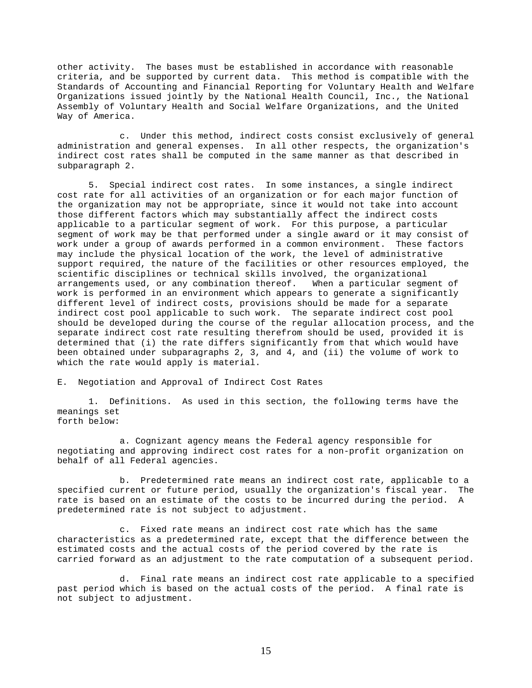other activity. The bases must be established in accordance with reasonable criteria, and be supported by current data. This method is compatible with the Standards of Accounting and Financial Reporting for Voluntary Health and Welfare Organizations issued jointly by the National Health Council, Inc., the National Assembly of Voluntary Health and Social Welfare Organizations, and the United Way of America.

c. Under this method, indirect costs consist exclusively of general administration and general expenses. In all other respects, the organization's indirect cost rates shall be computed in the same manner as that described in subparagraph 2.

5. Special indirect cost rates. In some instances, a single indirect cost rate for all activities of an organization or for each major function of the organization may not be appropriate, since it would not take into account those different factors which may substantially affect the indirect costs applicable to a particular segment of work. For this purpose, a particular segment of work may be that performed under a single award or it may consist of work under a group of awards performed in a common environment. These factors may include the physical location of the work, the level of administrative support required, the nature of the facilities or other resources employed, the scientific disciplines or technical skills involved, the organizational arrangements used, or any combination thereof. When a particular segment of work is performed in an environment which appears to generate a significantly different level of indirect costs, provisions should be made for a separate indirect cost pool applicable to such work. The separate indirect cost pool should be developed during the course of the regular allocation process, and the separate indirect cost rate resulting therefrom should be used, provided it is determined that (i) the rate differs significantly from that which would have been obtained under subparagraphs 2, 3, and 4, and (ii) the volume of work to which the rate would apply is material.

E. Negotiation and Approval of Indirect Cost Rates

1. Definitions. As used in this section, the following terms have the meanings set forth below:

a. Cognizant agency means the Federal agency responsible for negotiating and approving indirect cost rates for a non-profit organization on behalf of all Federal agencies.

b. Predetermined rate means an indirect cost rate, applicable to a specified current or future period, usually the organization's fiscal year. The rate is based on an estimate of the costs to be incurred during the period. A predetermined rate is not subject to adjustment.

c. Fixed rate means an indirect cost rate which has the same characteristics as a predetermined rate, except that the difference between the estimated costs and the actual costs of the period covered by the rate is carried forward as an adjustment to the rate computation of a subsequent period.

d. Final rate means an indirect cost rate applicable to a specified past period which is based on the actual costs of the period. A final rate is not subject to adjustment.

15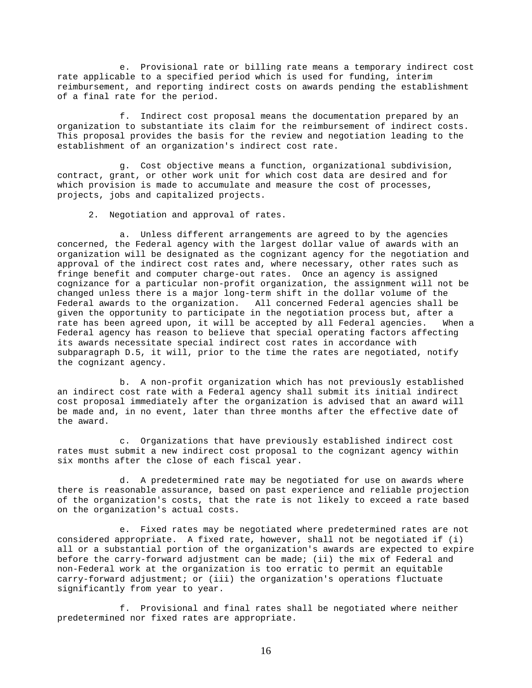e. Provisional rate or billing rate means a temporary indirect cost rate applicable to a specified period which is used for funding, interim reimbursement, and reporting indirect costs on awards pending the establishment of a final rate for the period.

f. Indirect cost proposal means the documentation prepared by an organization to substantiate its claim for the reimbursement of indirect costs. This proposal provides the basis for the review and negotiation leading to the establishment of an organization's indirect cost rate.

g. Cost objective means a function, organizational subdivision, contract, grant, or other work unit for which cost data are desired and for which provision is made to accumulate and measure the cost of processes, projects, jobs and capitalized projects.

2. Negotiation and approval of rates.

a. Unless different arrangements are agreed to by the agencies concerned, the Federal agency with the largest dollar value of awards with an organization will be designated as the cognizant agency for the negotiation and approval of the indirect cost rates and, where necessary, other rates such as fringe benefit and computer charge-out rates. Once an agency is assigned cognizance for a particular non-profit organization, the assignment will not be changed unless there is a major long-term shift in the dollar volume of the Federal awards to the organization. All concerned Federal agencies shall be given the opportunity to participate in the negotiation process but, after a rate has been agreed upon, it will be accepted by all Federal agencies. When a Federal agency has reason to believe that special operating factors affecting its awards necessitate special indirect cost rates in accordance with subparagraph D.5, it will, prior to the time the rates are negotiated, notify the cognizant agency.

b. A non-profit organization which has not previously established an indirect cost rate with a Federal agency shall submit its initial indirect cost proposal immediately after the organization is advised that an award will be made and, in no event, later than three months after the effective date of the award.

c. Organizations that have previously established indirect cost rates must submit a new indirect cost proposal to the cognizant agency within six months after the close of each fiscal year.

d. A predetermined rate may be negotiated for use on awards where there is reasonable assurance, based on past experience and reliable projection of the organization's costs, that the rate is not likely to exceed a rate based on the organization's actual costs.

e. Fixed rates may be negotiated where predetermined rates are not considered appropriate. A fixed rate, however, shall not be negotiated if (i) all or a substantial portion of the organization's awards are expected to expire before the carry-forward adjustment can be made; (ii) the mix of Federal and non-Federal work at the organization is too erratic to permit an equitable carry-forward adjustment; or (iii) the organization's operations fluctuate significantly from year to year.

f. Provisional and final rates shall be negotiated where neither predetermined nor fixed rates are appropriate.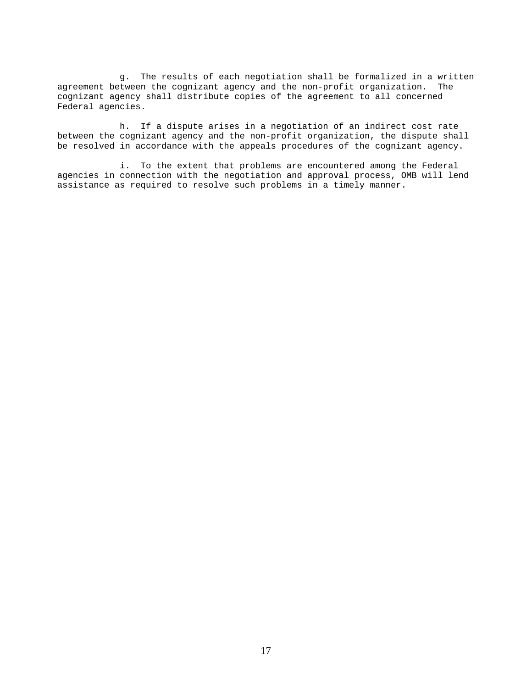g. The results of each negotiation shall be formalized in a written agreement between the cognizant agency and the non-profit organization. The cognizant agency shall distribute copies of the agreement to all concerned Federal agencies.

h. If a dispute arises in a negotiation of an indirect cost rate between the cognizant agency and the non-profit organization, the dispute shall be resolved in accordance with the appeals procedures of the cognizant agency.

i. To the extent that problems are encountered among the Federal agencies in connection with the negotiation and approval process, OMB will lend assistance as required to resolve such problems in a timely manner.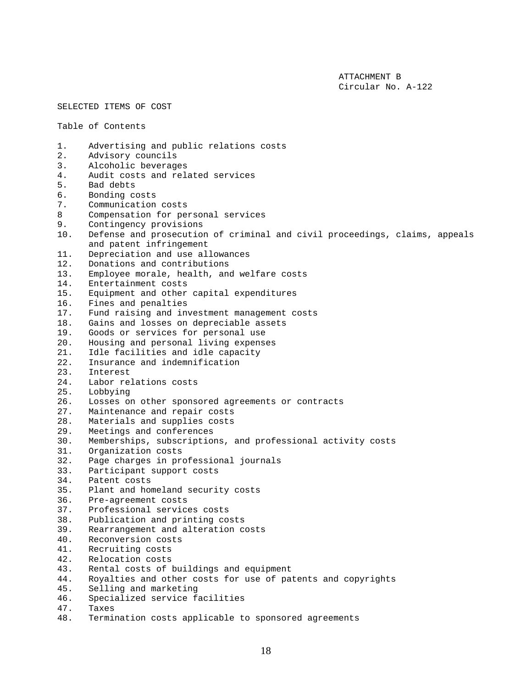ATTACHMENT B Circular No. A-122

SELECTED ITEMS OF COST

Table of Contents

- 1. Advertising and public relations costs
- 2. Advisory councils
- 3. Alcoholic beverages
- 4. Audit costs and related services
- 5. Bad debts
- 6. Bonding costs
- 7. Communication costs
- 8 Compensation for personal services
- 9. Contingency provisions
- 10. Defense and prosecution of criminal and civil proceedings, claims, appeals and patent infringement
- 11. Depreciation and use allowances
- 12. Donations and contributions
- 13. Employee morale, health, and welfare costs
- 14. Entertainment costs
- 15. Equipment and other capital expenditures
- 16. Fines and penalties
- 17. Fund raising and investment management costs
- 18. Gains and losses on depreciable assets
- 19. Goods or services for personal use
- 20. Housing and personal living expenses
- 21. Idle facilities and idle capacity
- 22. Insurance and indemnification
- Interest
- 24. Labor relations costs
- 25. Lobbying
- 26. Losses on other sponsored agreements or contracts
- 27. Maintenance and repair costs
- 28. Materials and supplies costs
- 29. Meetings and conferences
- 30. Memberships, subscriptions, and professional activity costs
- Organization costs
- 32. Page charges in professional journals
- 33. Participant support costs
- 34. Patent costs
- 35. Plant and homeland security costs
- 36. Pre-agreement costs
- 37. Professional services costs
- 38. Publication and printing costs
- 39. Rearrangement and alteration costs
- 40. Reconversion costs
- 41. Recruiting costs
- 42. Relocation costs
- 43. Rental costs of buildings and equipment<br>44. Royalties and other costs for use of pa
- Royalties and other costs for use of patents and copyrights
- 45. Selling and marketing
- 46. Specialized service facilities
- 47. Taxes
- 48. Termination costs applicable to sponsored agreements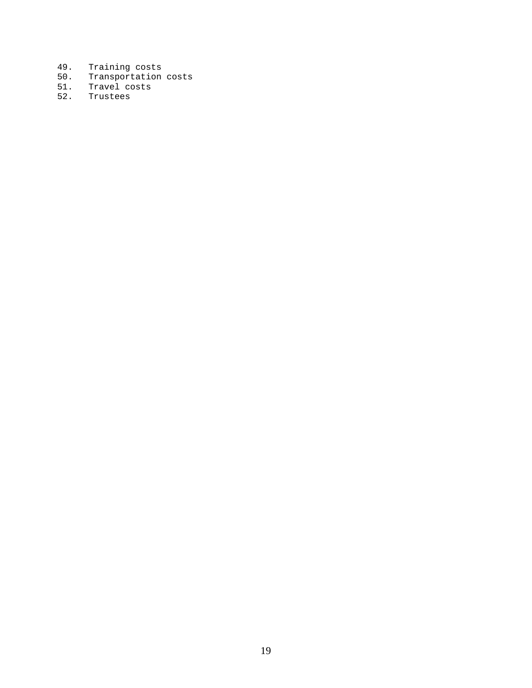- 49. Training costs
- 50. Transportation costs
- 51. Travel costs
- 52. Trustees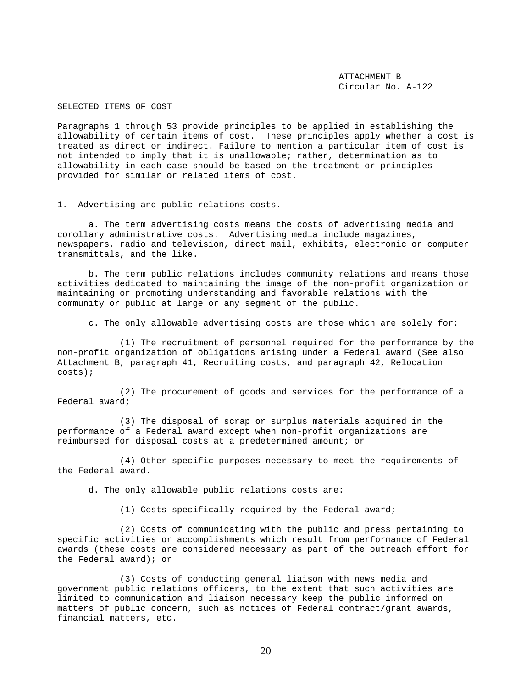# ATTACHMENT B Circular No. A-122

SELECTED ITEMS OF COST

Paragraphs 1 through 53 provide principles to be applied in establishing the allowability of certain items of cost. These principles apply whether a cost is treated as direct or indirect. Failure to mention a particular item of cost is not intended to imply that it is unallowable; rather, determination as to allowability in each case should be based on the treatment or principles provided for similar or related items of cost.

1. Advertising and public relations costs.

a. The term advertising costs means the costs of advertising media and corollary administrative costs. Advertising media include magazines, newspapers, radio and television, direct mail, exhibits, electronic or computer transmittals, and the like.

b. The term public relations includes community relations and means those activities dedicated to maintaining the image of the non-profit organization or maintaining or promoting understanding and favorable relations with the community or public at large or any segment of the public.

c. The only allowable advertising costs are those which are solely for:

 (1) The recruitment of personnel required for the performance by the non-profit organization of obligations arising under a Federal award (See also Attachment B, paragraph 41, Recruiting costs, and paragraph 42, Relocation costs);

 (2) The procurement of goods and services for the performance of a Federal award;

 (3) The disposal of scrap or surplus materials acquired in the performance of a Federal award except when non-profit organizations are reimbursed for disposal costs at a predetermined amount; or

 (4) Other specific purposes necessary to meet the requirements of the Federal award.

d. The only allowable public relations costs are:

(1) Costs specifically required by the Federal award;

 (2) Costs of communicating with the public and press pertaining to specific activities or accomplishments which result from performance of Federal awards (these costs are considered necessary as part of the outreach effort for the Federal award); or

 (3) Costs of conducting general liaison with news media and government public relations officers, to the extent that such activities are limited to communication and liaison necessary keep the public informed on matters of public concern, such as notices of Federal contract/grant awards, financial matters, etc.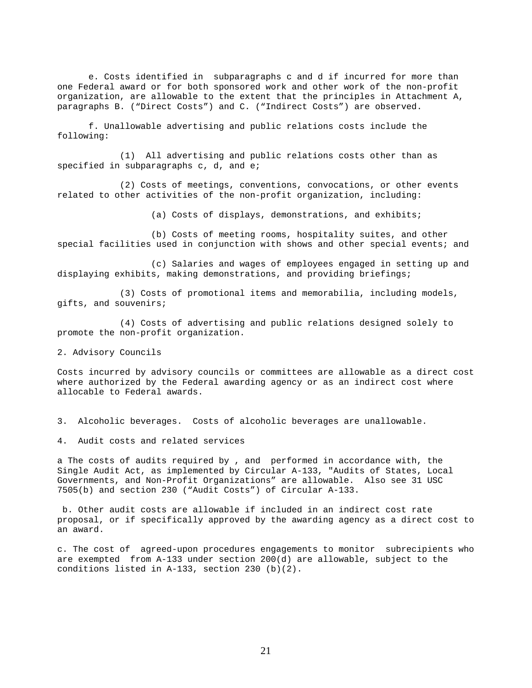e. Costs identified in subparagraphs c and d if incurred for more than one Federal award or for both sponsored work and other work of the non-profit organization, are allowable to the extent that the principles in Attachment A, paragraphs B. ("Direct Costs") and C. ("Indirect Costs") are observed.

f. Unallowable advertising and public relations costs include the following:

 (1) All advertising and public relations costs other than as specified in subparagraphs c, d, and e;

 (2) Costs of meetings, conventions, convocations, or other events related to other activities of the non-profit organization, including:

(a) Costs of displays, demonstrations, and exhibits;

 (b) Costs of meeting rooms, hospitality suites, and other special facilities used in conjunction with shows and other special events; and

 (c) Salaries and wages of employees engaged in setting up and displaying exhibits, making demonstrations, and providing briefings;

 (3) Costs of promotional items and memorabilia, including models, gifts, and souvenirs;

 (4) Costs of advertising and public relations designed solely to promote the non-profit organization.

2. Advisory Councils

Costs incurred by advisory councils or committees are allowable as a direct cost where authorized by the Federal awarding agency or as an indirect cost where allocable to Federal awards.

3. Alcoholic beverages. Costs of alcoholic beverages are unallowable.

4. Audit costs and related services

a The costs of audits required by , and performed in accordance with, the Single Audit Act, as implemented by Circular A-133, "Audits of States, Local Governments, and Non-Profit Organizations" are allowable. Also see 31 USC 7505(b) and section 230 ("Audit Costs") of Circular A-133.

 b. Other audit costs are allowable if included in an indirect cost rate proposal, or if specifically approved by the awarding agency as a direct cost to an award.

c. The cost of agreed-upon procedures engagements to monitor subrecipients who are exempted from A-133 under section 200(d) are allowable, subject to the conditions listed in A-133, section 230 (b)(2).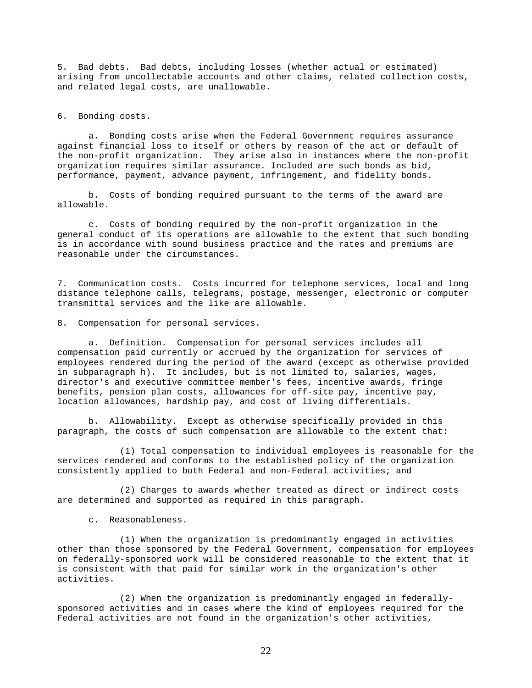5. Bad debts. Bad debts, including losses (whether actual or estimated) arising from uncollectable accounts and other claims, related collection costs, and related legal costs, are unallowable.

6. Bonding costs.

 a. Bonding costs arise when the Federal Government requires assurance against financial loss to itself or others by reason of the act or default of the non-profit organization. They arise also in instances where the non-profit organization requires similar assurance. Included are such bonds as bid, performance, payment, advance payment, infringement, and fidelity bonds.

 b. Costs of bonding required pursuant to the terms of the award are allowable.

c. Costs of bonding required by the non-profit organization in the general conduct of its operations are allowable to the extent that such bonding is in accordance with sound business practice and the rates and premiums are reasonable under the circumstances.

7. Communication costs. Costs incurred for telephone services, local and long distance telephone calls, telegrams, postage, messenger, electronic or computer transmittal services and the like are allowable.

8. Compensation for personal services.

a. Definition. Compensation for personal services includes all compensation paid currently or accrued by the organization for services of employees rendered during the period of the award (except as otherwise provided in subparagraph h). It includes, but is not limited to, salaries, wages, director's and executive committee member's fees, incentive awards, fringe benefits, pension plan costs, allowances for off-site pay, incentive pay, location allowances, hardship pay, and cost of living differentials.

b. Allowability. Except as otherwise specifically provided in this paragraph, the costs of such compensation are allowable to the extent that:

(1) Total compensation to individual employees is reasonable for the services rendered and conforms to the established policy of the organization consistently applied to both Federal and non-Federal activities; and

(2) Charges to awards whether treated as direct or indirect costs are determined and supported as required in this paragraph.

c. Reasonableness.

(1) When the organization is predominantly engaged in activities other than those sponsored by the Federal Government, compensation for employees on federally-sponsored work will be considered reasonable to the extent that it is consistent with that paid for similar work in the organization's other activities.

(2) When the organization is predominantly engaged in federallysponsored activities and in cases where the kind of employees required for the Federal activities are not found in the organization's other activities,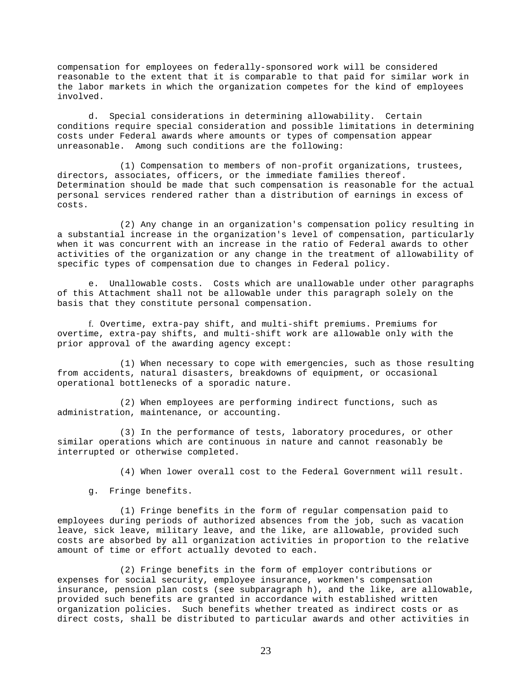compensation for employees on federally-sponsored work will be considered reasonable to the extent that it is comparable to that paid for similar work in the labor markets in which the organization competes for the kind of employees involved.

d. Special considerations in determining allowability. Certain conditions require special consideration and possible limitations in determining costs under Federal awards where amounts or types of compensation appear unreasonable. Among such conditions are the following:

(1) Compensation to members of non-profit organizations, trustees, directors, associates, officers, or the immediate families thereof. Determination should be made that such compensation is reasonable for the actual personal services rendered rather than a distribution of earnings in excess of costs.

(2) Any change in an organization's compensation policy resulting in a substantial increase in the organization's level of compensation, particularly when it was concurrent with an increase in the ratio of Federal awards to other activities of the organization or any change in the treatment of allowability of specific types of compensation due to changes in Federal policy.

e. Unallowable costs. Costs which are unallowable under other paragraphs of this Attachment shall not be allowable under this paragraph solely on the basis that they constitute personal compensation.

 f. Overtime, extra-pay shift, and multi-shift premiums. Premiums for overtime, extra-pay shifts, and multi-shift work are allowable only with the prior approval of the awarding agency except:

 (1) When necessary to cope with emergencies, such as those resulting from accidents, natural disasters, breakdowns of equipment, or occasional operational bottlenecks of a sporadic nature.

 (2) When employees are performing indirect functions, such as administration, maintenance, or accounting.

 (3) In the performance of tests, laboratory procedures, or other similar operations which are continuous in nature and cannot reasonably be interrupted or otherwise completed.

(4) When lower overall cost to the Federal Government will result.

g. Fringe benefits.

(1) Fringe benefits in the form of regular compensation paid to employees during periods of authorized absences from the job, such as vacation leave, sick leave, military leave, and the like, are allowable, provided such costs are absorbed by all organization activities in proportion to the relative amount of time or effort actually devoted to each.

(2) Fringe benefits in the form of employer contributions or expenses for social security, employee insurance, workmen's compensation insurance, pension plan costs (see subparagraph h), and the like, are allowable, provided such benefits are granted in accordance with established written organization policies. Such benefits whether treated as indirect costs or as direct costs, shall be distributed to particular awards and other activities in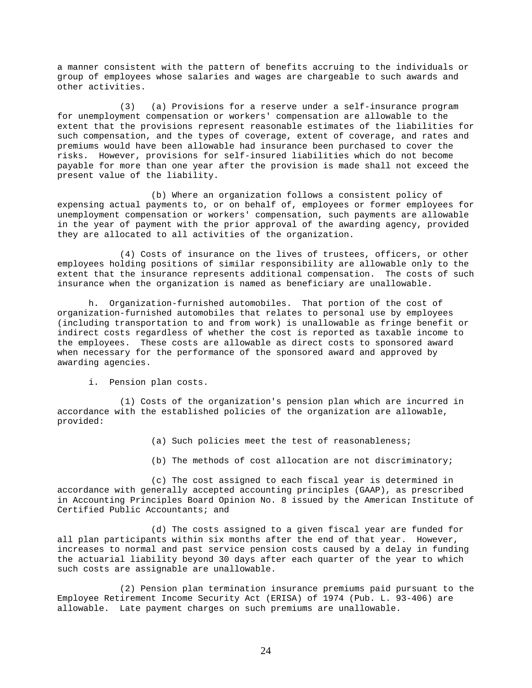a manner consistent with the pattern of benefits accruing to the individuals or group of employees whose salaries and wages are chargeable to such awards and other activities.

(3) (a) Provisions for a reserve under a self-insurance program for unemployment compensation or workers' compensation are allowable to the extent that the provisions represent reasonable estimates of the liabilities for such compensation, and the types of coverage, extent of coverage, and rates and premiums would have been allowable had insurance been purchased to cover the risks. However, provisions for self-insured liabilities which do not become payable for more than one year after the provision is made shall not exceed the present value of the liability.

(b) Where an organization follows a consistent policy of expensing actual payments to, or on behalf of, employees or former employees for unemployment compensation or workers' compensation, such payments are allowable in the year of payment with the prior approval of the awarding agency, provided they are allocated to all activities of the organization.

(4) Costs of insurance on the lives of trustees, officers, or other employees holding positions of similar responsibility are allowable only to the extent that the insurance represents additional compensation. The costs of such insurance when the organization is named as beneficiary are unallowable.

h. Organization-furnished automobiles. That portion of the cost of organization-furnished automobiles that relates to personal use by employees (including transportation to and from work) is unallowable as fringe benefit or indirect costs regardless of whether the cost is reported as taxable income to the employees. These costs are allowable as direct costs to sponsored award when necessary for the performance of the sponsored award and approved by awarding agencies.

i. Pension plan costs.

(1) Costs of the organization's pension plan which are incurred in accordance with the established policies of the organization are allowable, provided:

(a) Such policies meet the test of reasonableness;

(b) The methods of cost allocation are not discriminatory;

(c) The cost assigned to each fiscal year is determined in accordance with generally accepted accounting principles (GAAP), as prescribed in Accounting Principles Board Opinion No. 8 issued by the American Institute of Certified Public Accountants; and

(d) The costs assigned to a given fiscal year are funded for all plan participants within six months after the end of that year. However, increases to normal and past service pension costs caused by a delay in funding the actuarial liability beyond 30 days after each quarter of the year to which such costs are assignable are unallowable.

(2) Pension plan termination insurance premiums paid pursuant to the Employee Retirement Income Security Act (ERISA) of 1974 (Pub. L. 93-406) are allowable. Late payment charges on such premiums are unallowable.

24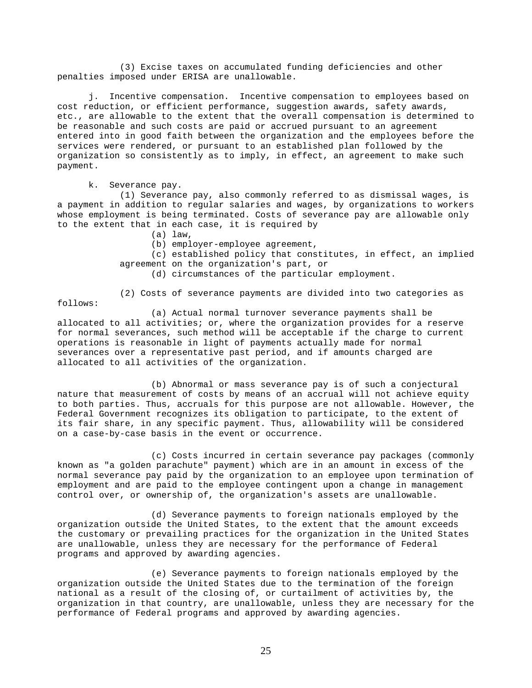(3) Excise taxes on accumulated funding deficiencies and other penalties imposed under ERISA are unallowable.

j. Incentive compensation. Incentive compensation to employees based on cost reduction, or efficient performance, suggestion awards, safety awards, etc., are allowable to the extent that the overall compensation is determined to be reasonable and such costs are paid or accrued pursuant to an agreement entered into in good faith between the organization and the employees before the services were rendered, or pursuant to an established plan followed by the organization so consistently as to imply, in effect, an agreement to make such payment.

k. Severance pay.

 (1) Severance pay, also commonly referred to as dismissal wages, is a payment in addition to regular salaries and wages, by organizations to workers whose employment is being terminated. Costs of severance pay are allowable only to the extent that in each case, it is required by

(a) law,

(b) employer-employee agreement,

(c) established policy that constitutes, in effect, an implied agreement on the organization's part, or

(d) circumstances of the particular employment.

follows:

(2) Costs of severance payments are divided into two categories as

 (a) Actual normal turnover severance payments shall be allocated to all activities; or, where the organization provides for a reserve for normal severances, such method will be acceptable if the charge to current operations is reasonable in light of payments actually made for normal severances over a representative past period, and if amounts charged are allocated to all activities of the organization.

 (b) Abnormal or mass severance pay is of such a conjectural nature that measurement of costs by means of an accrual will not achieve equity to both parties. Thus, accruals for this purpose are not allowable. However, the Federal Government recognizes its obligation to participate, to the extent of its fair share, in any specific payment. Thus, allowability will be considered on a case-by-case basis in the event or occurrence.

 (c) Costs incurred in certain severance pay packages (commonly known as "a golden parachute" payment) which are in an amount in excess of the normal severance pay paid by the organization to an employee upon termination of employment and are paid to the employee contingent upon a change in management control over, or ownership of, the organization's assets are unallowable.

 (d) Severance payments to foreign nationals employed by the organization outside the United States, to the extent that the amount exceeds the customary or prevailing practices for the organization in the United States are unallowable, unless they are necessary for the performance of Federal programs and approved by awarding agencies.

 (e) Severance payments to foreign nationals employed by the organization outside the United States due to the termination of the foreign national as a result of the closing of, or curtailment of activities by, the organization in that country, are unallowable, unless they are necessary for the performance of Federal programs and approved by awarding agencies.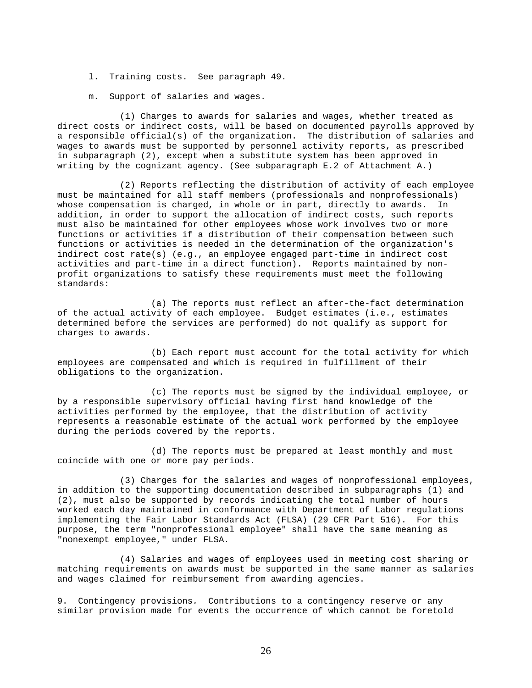- l. Training costs. See paragraph 49.
- m. Support of salaries and wages.

(1) Charges to awards for salaries and wages, whether treated as direct costs or indirect costs, will be based on documented payrolls approved by a responsible official(s) of the organization. The distribution of salaries and wages to awards must be supported by personnel activity reports, as prescribed in subparagraph (2), except when a substitute system has been approved in writing by the cognizant agency. (See subparagraph E.2 of Attachment A.)

(2) Reports reflecting the distribution of activity of each employee must be maintained for all staff members (professionals and nonprofessionals) whose compensation is charged, in whole or in part, directly to awards. In addition, in order to support the allocation of indirect costs, such reports must also be maintained for other employees whose work involves two or more functions or activities if a distribution of their compensation between such functions or activities is needed in the determination of the organization's indirect cost rate(s) (e.g., an employee engaged part-time in indirect cost activities and part-time in a direct function). Reports maintained by nonprofit organizations to satisfy these requirements must meet the following standards:

(a) The reports must reflect an after-the-fact determination of the actual activity of each employee. Budget estimates (i.e., estimates determined before the services are performed) do not qualify as support for charges to awards.

(b) Each report must account for the total activity for which employees are compensated and which is required in fulfillment of their obligations to the organization.

(c) The reports must be signed by the individual employee, or by a responsible supervisory official having first hand knowledge of the activities performed by the employee, that the distribution of activity represents a reasonable estimate of the actual work performed by the employee during the periods covered by the reports.

(d) The reports must be prepared at least monthly and must coincide with one or more pay periods.

(3) Charges for the salaries and wages of nonprofessional employees, in addition to the supporting documentation described in subparagraphs (1) and (2), must also be supported by records indicating the total number of hours worked each day maintained in conformance with Department of Labor regulations implementing the Fair Labor Standards Act (FLSA) (29 CFR Part 516). For this purpose, the term "nonprofessional employee" shall have the same meaning as "nonexempt employee," under FLSA.

(4) Salaries and wages of employees used in meeting cost sharing or matching requirements on awards must be supported in the same manner as salaries and wages claimed for reimbursement from awarding agencies.

9. Contingency provisions*.* Contributions to a contingency reserve or any similar provision made for events the occurrence of which cannot be foretold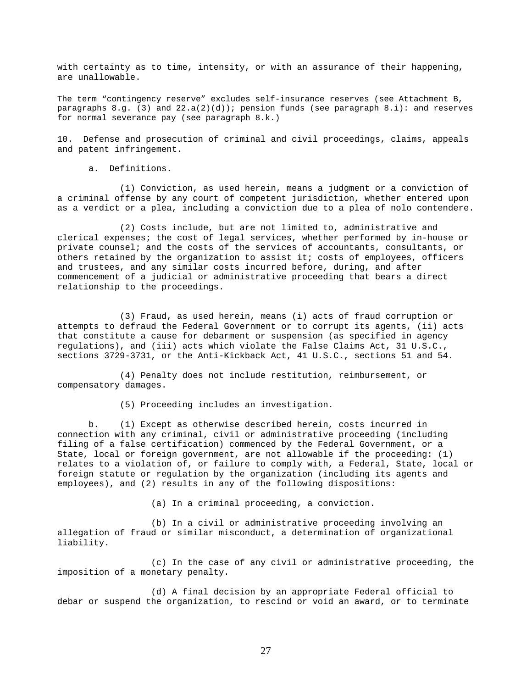with certainty as to time, intensity, or with an assurance of their happening, are unallowable.

The term "contingency reserve" excludes self-insurance reserves (see Attachment B, paragraphs 8.g. (3) and  $22.a(2)(d)$ ; pension funds (see paragraph 8.i): and reserves for normal severance pay (see paragraph 8.k.)

10. Defense and prosecution of criminal and civil proceedings, claims, appeals and patent infringement.

a. Definitions.

(1) Conviction, as used herein, means a judgment or a conviction of a criminal offense by any court of competent jurisdiction, whether entered upon as a verdict or a plea, including a conviction due to a plea of nolo contendere.

(2) Costs include, but are not limited to, administrative and clerical expenses; the cost of legal services, whether performed by in-house or private counsel; and the costs of the services of accountants, consultants, or others retained by the organization to assist it; costs of employees, officers and trustees, and any similar costs incurred before, during, and after commencement of a judicial or administrative proceeding that bears a direct relationship to the proceedings.

(3) Fraud, as used herein, means (i) acts of fraud corruption or attempts to defraud the Federal Government or to corrupt its agents, (ii) acts that constitute a cause for debarment or suspension (as specified in agency regulations), and (iii) acts which violate the False Claims Act, 31 U.S.C., sections 3729-3731, or the Anti-Kickback Act, 41 U.S.C., sections 51 and 54.

(4) Penalty does not include restitution, reimbursement, or compensatory damages.

(5) Proceeding includes an investigation.

b. (1) Except as otherwise described herein, costs incurred in connection with any criminal, civil or administrative proceeding (including filing of a false certification) commenced by the Federal Government, or a State, local or foreign government, are not allowable if the proceeding: (1) relates to a violation of, or failure to comply with, a Federal, State, local or foreign statute or regulation by the organization (including its agents and employees), and (2) results in any of the following dispositions:

(a) In a criminal proceeding, a conviction.

(b) In a civil or administrative proceeding involving an allegation of fraud or similar misconduct, a determination of organizational liability.

(c) In the case of any civil or administrative proceeding, the imposition of a monetary penalty.

(d) A final decision by an appropriate Federal official to debar or suspend the organization, to rescind or void an award, or to terminate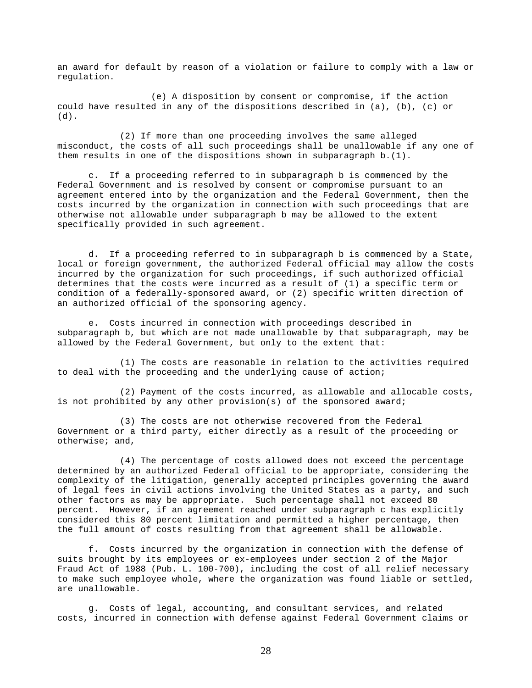an award for default by reason of a violation or failure to comply with a law or regulation.

(e) A disposition by consent or compromise, if the action could have resulted in any of the dispositions described in (a), (b), (c) or  $(d)$ .

(2) If more than one proceeding involves the same alleged misconduct, the costs of all such proceedings shall be unallowable if any one of them results in one of the dispositions shown in subparagraph b.(1).

c. If a proceeding referred to in subparagraph b is commenced by the Federal Government and is resolved by consent or compromise pursuant to an agreement entered into by the organization and the Federal Government, then the costs incurred by the organization in connection with such proceedings that are otherwise not allowable under subparagraph b may be allowed to the extent specifically provided in such agreement.

d. If a proceeding referred to in subparagraph b is commenced by a State, local or foreign government, the authorized Federal official may allow the costs incurred by the organization for such proceedings, if such authorized official determines that the costs were incurred as a result of (1) a specific term or condition of a federally-sponsored award, or (2) specific written direction of an authorized official of the sponsoring agency.

e. Costs incurred in connection with proceedings described in subparagraph b, but which are not made unallowable by that subparagraph, may be allowed by the Federal Government, but only to the extent that:

(1) The costs are reasonable in relation to the activities required to deal with the proceeding and the underlying cause of action;

(2) Payment of the costs incurred, as allowable and allocable costs, is not prohibited by any other provision(s) of the sponsored award;

(3) The costs are not otherwise recovered from the Federal Government or a third party, either directly as a result of the proceeding or otherwise; and,

(4) The percentage of costs allowed does not exceed the percentage determined by an authorized Federal official to be appropriate, considering the complexity of the litigation, generally accepted principles governing the award of legal fees in civil actions involving the United States as a party, and such other factors as may be appropriate. Such percentage shall not exceed 80 percent. However, if an agreement reached under subparagraph c has explicitly considered this 80 percent limitation and permitted a higher percentage, then the full amount of costs resulting from that agreement shall be allowable.

f. Costs incurred by the organization in connection with the defense of suits brought by its employees or ex-employees under section 2 of the Major Fraud Act of 1988 (Pub. L. 100-700), including the cost of all relief necessary to make such employee whole, where the organization was found liable or settled, are unallowable.

g. Costs of legal, accounting, and consultant services, and related costs, incurred in connection with defense against Federal Government claims or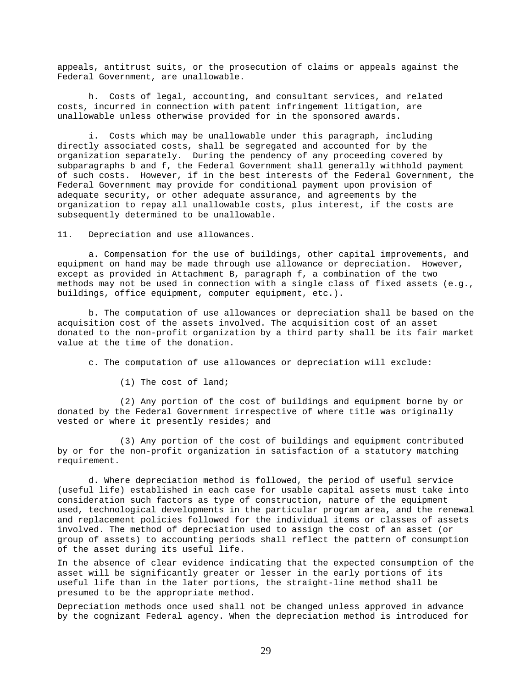appeals, antitrust suits, or the prosecution of claims or appeals against the Federal Government, are unallowable.

h. Costs of legal, accounting, and consultant services, and related costs, incurred in connection with patent infringement litigation, are unallowable unless otherwise provided for in the sponsored awards.

i. Costs which may be unallowable under this paragraph, including directly associated costs, shall be segregated and accounted for by the organization separately. During the pendency of any proceeding covered by subparagraphs b and f, the Federal Government shall generally withhold payment of such costs. However, if in the best interests of the Federal Government, the Federal Government may provide for conditional payment upon provision of adequate security, or other adequate assurance, and agreements by the organization to repay all unallowable costs, plus interest, if the costs are subsequently determined to be unallowable.

11. Depreciation and use allowances.

a. Compensation for the use of buildings, other capital improvements, and equipment on hand may be made through use allowance or depreciation. However, except as provided in Attachment B, paragraph f, a combination of the two methods may not be used in connection with a single class of fixed assets (e.g., buildings, office equipment, computer equipment, etc.).

 b. The computation of use allowances or depreciation shall be based on the acquisition cost of the assets involved. The acquisition cost of an asset donated to the non-profit organization by a third party shall be its fair market value at the time of the donation.

c. The computation of use allowances or depreciation will exclude:

(1) The cost of land;

 (2) Any portion of the cost of buildings and equipment borne by or donated by the Federal Government irrespective of where title was originally vested or where it presently resides; and

 (3) Any portion of the cost of buildings and equipment contributed by or for the non-profit organization in satisfaction of a statutory matching requirement.

 d. Where depreciation method is followed, the period of useful service (useful life) established in each case for usable capital assets must take into consideration such factors as type of construction, nature of the equipment used, technological developments in the particular program area, and the renewal and replacement policies followed for the individual items or classes of assets involved. The method of depreciation used to assign the cost of an asset (or group of assets) to accounting periods shall reflect the pattern of consumption of the asset during its useful life.

In the absence of clear evidence indicating that the expected consumption of the asset will be significantly greater or lesser in the early portions of its useful life than in the later portions, the straight-line method shall be presumed to be the appropriate method.

Depreciation methods once used shall not be changed unless approved in advance by the cognizant Federal agency. When the depreciation method is introduced for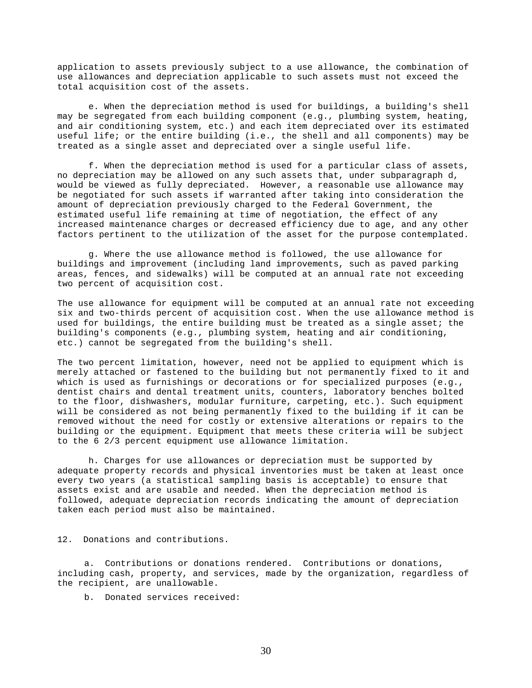application to assets previously subject to a use allowance, the combination of use allowances and depreciation applicable to such assets must not exceed the total acquisition cost of the assets.

 e. When the depreciation method is used for buildings, a building's shell may be segregated from each building component (e.g., plumbing system, heating, and air conditioning system, etc.) and each item depreciated over its estimated useful life; or the entire building (i.e., the shell and all components) may be treated as a single asset and depreciated over a single useful life.

 f. When the depreciation method is used for a particular class of assets, no depreciation may be allowed on any such assets that, under subparagraph d, would be viewed as fully depreciated. However, a reasonable use allowance may be negotiated for such assets if warranted after taking into consideration the amount of depreciation previously charged to the Federal Government, the estimated useful life remaining at time of negotiation, the effect of any increased maintenance charges or decreased efficiency due to age, and any other factors pertinent to the utilization of the asset for the purpose contemplated.

 g. Where the use allowance method is followed, the use allowance for buildings and improvement (including land improvements, such as paved parking areas, fences, and sidewalks) will be computed at an annual rate not exceeding two percent of acquisition cost.

The use allowance for equipment will be computed at an annual rate not exceeding six and two-thirds percent of acquisition cost. When the use allowance method is used for buildings, the entire building must be treated as a single asset; the building's components (e.g., plumbing system, heating and air conditioning, etc.) cannot be segregated from the building's shell.

The two percent limitation, however, need not be applied to equipment which is merely attached or fastened to the building but not permanently fixed to it and which is used as furnishings or decorations or for specialized purposes (e.g., dentist chairs and dental treatment units, counters, laboratory benches bolted to the floor, dishwashers, modular furniture, carpeting, etc.). Such equipment will be considered as not being permanently fixed to the building if it can be removed without the need for costly or extensive alterations or repairs to the building or the equipment. Equipment that meets these criteria will be subject to the 6 2/3 percent equipment use allowance limitation.

 h. Charges for use allowances or depreciation must be supported by adequate property records and physical inventories must be taken at least once every two years (a statistical sampling basis is acceptable) to ensure that assets exist and are usable and needed. When the depreciation method is followed, adequate depreciation records indicating the amount of depreciation taken each period must also be maintained.

12. Donations and contributions.

 a. Contributions or donations rendered. Contributions or donations, including cash, property, and services, made by the organization, regardless of the recipient, are unallowable.

b. Donated services received: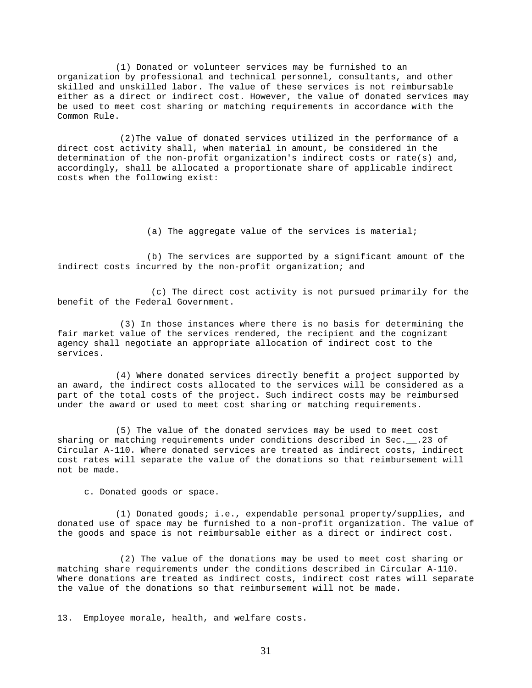(1) Donated or volunteer services may be furnished to an organization by professional and technical personnel, consultants, and other skilled and unskilled labor. The value of these services is not reimbursable either as a direct or indirect cost. However, the value of donated services may be used to meet cost sharing or matching requirements in accordance with the Common Rule.

 (2)The value of donated services utilized in the performance of a direct cost activity shall, when material in amount, be considered in the determination of the non-profit organization's indirect costs or rate(s) and, accordingly, shall be allocated a proportionate share of applicable indirect costs when the following exist:

(a) The aggregate value of the services is material;

 (b) The services are supported by a significant amount of the indirect costs incurred by the non-profit organization; and

 (c) The direct cost activity is not pursued primarily for the benefit of the Federal Government.

 (3) In those instances where there is no basis for determining the fair market value of the services rendered, the recipient and the cognizant agency shall negotiate an appropriate allocation of indirect cost to the services.

(4) Where donated services directly benefit a project supported by an award, the indirect costs allocated to the services will be considered as a part of the total costs of the project. Such indirect costs may be reimbursed under the award or used to meet cost sharing or matching requirements.

(5) The value of the donated services may be used to meet cost sharing or matching requirements under conditions described in Sec.\_\_.23 of Circular A-110. Where donated services are treated as indirect costs, indirect cost rates will separate the value of the donations so that reimbursement will not be made.

c. Donated goods or space.

 (1) Donated goods; i.e., expendable personal property/supplies, and donated use of space may be furnished to a non-profit organization. The value of the goods and space is not reimbursable either as a direct or indirect cost.

 (2) The value of the donations may be used to meet cost sharing or matching share requirements under the conditions described in Circular A-110. Where donations are treated as indirect costs, indirect cost rates will separate the value of the donations so that reimbursement will not be made.

13. Employee morale, health, and welfare costs.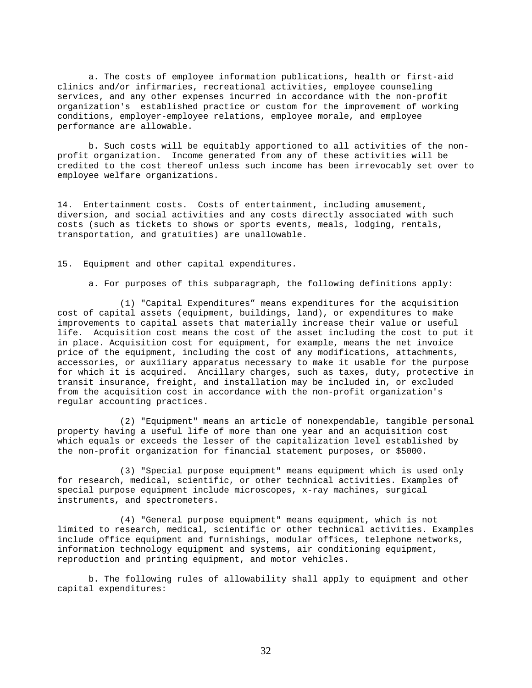a. The costs of employee information publications, health or first-aid clinics and/or infirmaries, recreational activities, employee counseling services, and any other expenses incurred in accordance with the non-profit organization's established practice or custom for the improvement of working conditions, employer-employee relations, employee morale, and employee performance are allowable.

 b. Such costs will be equitably apportioned to all activities of the nonprofit organization. Income generated from any of these activities will be credited to the cost thereof unless such income has been irrevocably set over to employee welfare organizations.

14. Entertainment costs. Costs of entertainment, including amusement, diversion, and social activities and any costs directly associated with such costs (such as tickets to shows or sports events, meals, lodging, rentals, transportation, and gratuities) are unallowable.

15. Equipment and other capital expenditures.

a. For purposes of this subparagraph, the following definitions apply:

 (1) "Capital Expenditures" means expenditures for the acquisition cost of capital assets (equipment, buildings, land), or expenditures to make improvements to capital assets that materially increase their value or useful life. Acquisition cost means the cost of the asset including the cost to put it in place. Acquisition cost for equipment, for example, means the net invoice price of the equipment, including the cost of any modifications, attachments, accessories, or auxiliary apparatus necessary to make it usable for the purpose for which it is acquired. Ancillary charges, such as taxes, duty, protective in transit insurance, freight, and installation may be included in, or excluded from the acquisition cost in accordance with the non-profit organization's regular accounting practices.

 (2) "Equipment" means an article of nonexpendable, tangible personal property having a useful life of more than one year and an acquisition cost which equals or exceeds the lesser of the capitalization level established by the non-profit organization for financial statement purposes, or \$5000.

 (3) "Special purpose equipment" means equipment which is used only for research, medical, scientific, or other technical activities. Examples of special purpose equipment include microscopes, x-ray machines, surgical instruments, and spectrometers.

 (4) "General purpose equipment" means equipment, which is not limited to research, medical, scientific or other technical activities. Examples include office equipment and furnishings, modular offices, telephone networks, information technology equipment and systems, air conditioning equipment, reproduction and printing equipment, and motor vehicles.

 b. The following rules of allowability shall apply to equipment and other capital expenditures: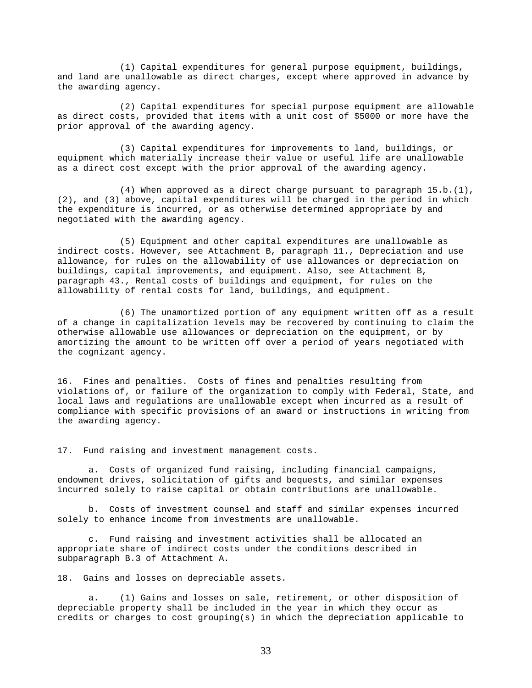(1) Capital expenditures for general purpose equipment, buildings, and land are unallowable as direct charges, except where approved in advance by the awarding agency.

 (2) Capital expenditures for special purpose equipment are allowable as direct costs, provided that items with a unit cost of \$5000 or more have the prior approval of the awarding agency.

 (3) Capital expenditures for improvements to land, buildings, or equipment which materially increase their value or useful life are unallowable as a direct cost except with the prior approval of the awarding agency.

 (4) When approved as a direct charge pursuant to paragraph 15.b.(1), (2), and (3) above, capital expenditures will be charged in the period in which the expenditure is incurred, or as otherwise determined appropriate by and negotiated with the awarding agency.

 (5) Equipment and other capital expenditures are unallowable as indirect costs. However, see Attachment B, paragraph 11., Depreciation and use allowance, for rules on the allowability of use allowances or depreciation on buildings, capital improvements, and equipment. Also, see Attachment B, paragraph 43., Rental costs of buildings and equipment, for rules on the allowability of rental costs for land, buildings, and equipment.

 (6) The unamortized portion of any equipment written off as a result of a change in capitalization levels may be recovered by continuing to claim the otherwise allowable use allowances or depreciation on the equipment, or by amortizing the amount to be written off over a period of years negotiated with the cognizant agency.

16. Fines and penalties. Costs of fines and penalties resulting from violations of, or failure of the organization to comply with Federal, State, and local laws and regulations are unallowable except when incurred as a result of compliance with specific provisions of an award or instructions in writing from the awarding agency.

17. Fund raising and investment management costs.

a. Costs of organized fund raising, including financial campaigns, endowment drives, solicitation of gifts and bequests, and similar expenses incurred solely to raise capital or obtain contributions are unallowable.

b. Costs of investment counsel and staff and similar expenses incurred solely to enhance income from investments are unallowable.

c. Fund raising and investment activities shall be allocated an appropriate share of indirect costs under the conditions described in subparagraph B.3 of Attachment A.

18. Gains and losses on depreciable assets.

a. (1) Gains and losses on sale, retirement, or other disposition of depreciable property shall be included in the year in which they occur as credits or charges to cost grouping(s) in which the depreciation applicable to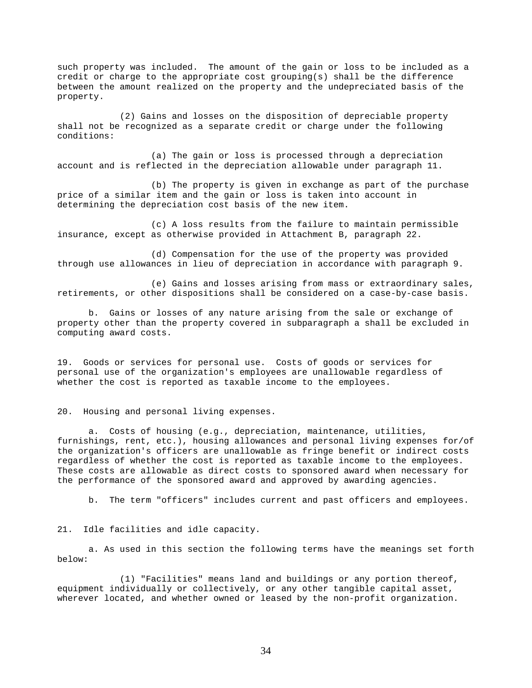such property was included. The amount of the gain or loss to be included as a credit or charge to the appropriate cost grouping(s) shall be the difference between the amount realized on the property and the undepreciated basis of the property.

(2) Gains and losses on the disposition of depreciable property shall not be recognized as a separate credit or charge under the following conditions:

(a) The gain or loss is processed through a depreciation account and is reflected in the depreciation allowable under paragraph 11.

(b) The property is given in exchange as part of the purchase price of a similar item and the gain or loss is taken into account in determining the depreciation cost basis of the new item.

(c) A loss results from the failure to maintain permissible insurance, except as otherwise provided in Attachment B, paragraph 22.

(d) Compensation for the use of the property was provided through use allowances in lieu of depreciation in accordance with paragraph 9.

(e) Gains and losses arising from mass or extraordinary sales, retirements, or other dispositions shall be considered on a case-by-case basis.

b. Gains or losses of any nature arising from the sale or exchange of property other than the property covered in subparagraph a shall be excluded in computing award costs.

19. Goods or services for personal use. Costs of goods or services for personal use of the organization's employees are unallowable regardless of whether the cost is reported as taxable income to the employees.

20. Housing and personal living expenses.

a. Costs of housing (e.g., depreciation, maintenance, utilities, furnishings, rent, etc.), housing allowances and personal living expenses for/of the organization's officers are unallowable as fringe benefit or indirect costs regardless of whether the cost is reported as taxable income to the employees. These costs are allowable as direct costs to sponsored award when necessary for the performance of the sponsored award and approved by awarding agencies.

b. The term "officers" includes current and past officers and employees.

21. Idle facilities and idle capacity.

a. As used in this section the following terms have the meanings set forth below:

 (1) "Facilities" means land and buildings or any portion thereof, equipment individually or collectively, or any other tangible capital asset, wherever located, and whether owned or leased by the non-profit organization.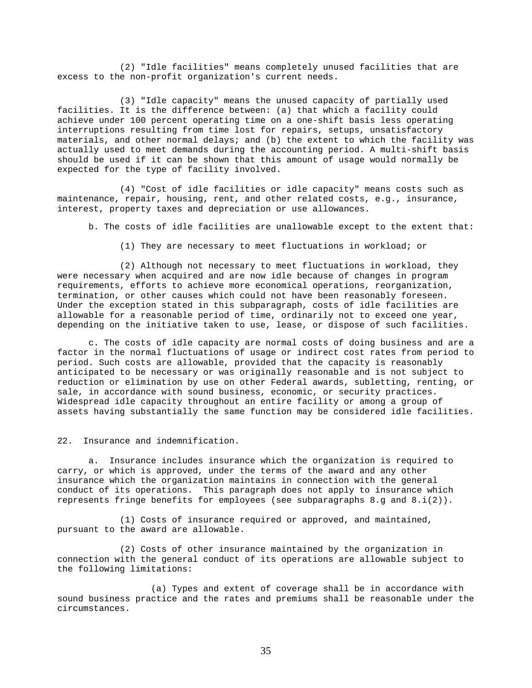(2) "Idle facilities" means completely unused facilities that are excess to the non-profit organization's current needs.

 (3) "Idle capacity" means the unused capacity of partially used facilities. It is the difference between: (a) that which a facility could achieve under 100 percent operating time on a one-shift basis less operating interruptions resulting from time lost for repairs, setups, unsatisfactory materials, and other normal delays; and (b) the extent to which the facility was actually used to meet demands during the accounting period. A multi-shift basis should be used if it can be shown that this amount of usage would normally be expected for the type of facility involved.

 (4) "Cost of idle facilities or idle capacity" means costs such as maintenance, repair, housing, rent, and other related costs, e.g., insurance, interest, property taxes and depreciation or use allowances.

b. The costs of idle facilities are unallowable except to the extent that:

(1) They are necessary to meet fluctuations in workload; or

 (2) Although not necessary to meet fluctuations in workload, they were necessary when acquired and are now idle because of changes in program requirements, efforts to achieve more economical operations, reorganization, termination, or other causes which could not have been reasonably foreseen. Under the exception stated in this subparagraph, costs of idle facilities are allowable for a reasonable period of time, ordinarily not to exceed one year, depending on the initiative taken to use, lease, or dispose of such facilities.

 c. The costs of idle capacity are normal costs of doing business and are a factor in the normal fluctuations of usage or indirect cost rates from period to period. Such costs are allowable, provided that the capacity is reasonably anticipated to be necessary or was originally reasonable and is not subject to reduction or elimination by use on other Federal awards, subletting, renting, or sale, in accordance with sound business, economic, or security practices. Widespread idle capacity throughout an entire facility or among a group of assets having substantially the same function may be considered idle facilities.

22. Insurance and indemnification.

a. Insurance includes insurance which the organization is required to carry, or which is approved, under the terms of the award and any other insurance which the organization maintains in connection with the general conduct of its operations. This paragraph does not apply to insurance which represents fringe benefits for employees (see subparagraphs 8.g and 8.i(2)).

(1) Costs of insurance required or approved, and maintained, pursuant to the award are allowable.

(2) Costs of other insurance maintained by the organization in connection with the general conduct of its operations are allowable subject to the following limitations:

(a) Types and extent of coverage shall be in accordance with sound business practice and the rates and premiums shall be reasonable under the circumstances.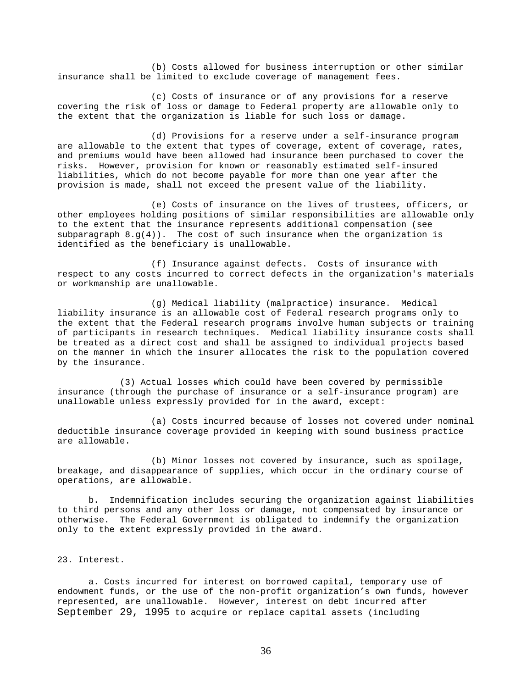(b) Costs allowed for business interruption or other similar insurance shall be limited to exclude coverage of management fees.

(c) Costs of insurance or of any provisions for a reserve covering the risk of loss or damage to Federal property are allowable only to the extent that the organization is liable for such loss or damage.

(d) Provisions for a reserve under a self-insurance program are allowable to the extent that types of coverage, extent of coverage, rates, and premiums would have been allowed had insurance been purchased to cover the risks. However, provision for known or reasonably estimated self-insured liabilities, which do not become payable for more than one year after the provision is made, shall not exceed the present value of the liability.

(e) Costs of insurance on the lives of trustees, officers, or other employees holding positions of similar responsibilities are allowable only to the extent that the insurance represents additional compensation (see subparagraph  $8.9(4)$ ). The cost of such insurance when the organization is identified as the beneficiary is unallowable.

(f) Insurance against defects. Costs of insurance with respect to any costs incurred to correct defects in the organization's materials or workmanship are unallowable.

(g) Medical liability (malpractice) insurance. Medical liability insurance is an allowable cost of Federal research programs only to the extent that the Federal research programs involve human subjects or training of participants in research techniques. Medical liability insurance costs shall be treated as a direct cost and shall be assigned to individual projects based on the manner in which the insurer allocates the risk to the population covered by the insurance.

(3) Actual losses which could have been covered by permissible insurance (through the purchase of insurance or a self-insurance program) are unallowable unless expressly provided for in the award, except:

(a) Costs incurred because of losses not covered under nominal deductible insurance coverage provided in keeping with sound business practice are allowable.

(b) Minor losses not covered by insurance, such as spoilage, breakage, and disappearance of supplies, which occur in the ordinary course of operations, are allowable.

b. Indemnification includes securing the organization against liabilities to third persons and any other loss or damage, not compensated by insurance or otherwise. The Federal Government is obligated to indemnify the organization only to the extent expressly provided in the award.

23. Interest.

 a. Costs incurred for interest on borrowed capital, temporary use of endowment funds, or the use of the non-profit organization's own funds, however represented, are unallowable. However, interest on debt incurred after September 29, 1995 to acquire or replace capital assets (including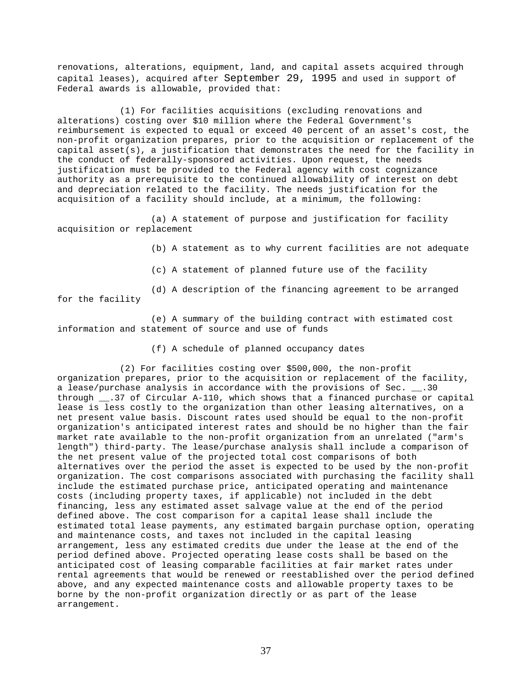renovations, alterations, equipment, land, and capital assets acquired through capital leases), acquired after September 29, 1995 and used in support of Federal awards is allowable, provided that:

 (1) For facilities acquisitions (excluding renovations and alterations) costing over \$10 million where the Federal Government's reimbursement is expected to equal or exceed 40 percent of an asset's cost, the non-profit organization prepares, prior to the acquisition or replacement of the capital asset(s), a justification that demonstrates the need for the facility in the conduct of federally-sponsored activities. Upon request, the needs justification must be provided to the Federal agency with cost cognizance authority as a prerequisite to the continued allowability of interest on debt and depreciation related to the facility. The needs justification for the acquisition of a facility should include, at a minimum, the following:

 (a) A statement of purpose and justification for facility acquisition or replacement

(b) A statement as to why current facilities are not adequate

(c) A statement of planned future use of the facility

 (d) A description of the financing agreement to be arranged for the facility

 (e) A summary of the building contract with estimated cost information and statement of source and use of funds

(f) A schedule of planned occupancy dates

 (2) For facilities costing over \$500,000, the non-profit organization prepares, prior to the acquisition or replacement of the facility, a lease/purchase analysis in accordance with the provisions of Sec. \_\_.30 through .37 of Circular A-110, which shows that a financed purchase or capital lease is less costly to the organization than other leasing alternatives, on a net present value basis. Discount rates used should be equal to the non-profit organization's anticipated interest rates and should be no higher than the fair market rate available to the non-profit organization from an unrelated ("arm's length") third-party. The lease/purchase analysis shall include a comparison of the net present value of the projected total cost comparisons of both alternatives over the period the asset is expected to be used by the non-profit organization. The cost comparisons associated with purchasing the facility shall include the estimated purchase price, anticipated operating and maintenance costs (including property taxes, if applicable) not included in the debt financing, less any estimated asset salvage value at the end of the period defined above. The cost comparison for a capital lease shall include the estimated total lease payments, any estimated bargain purchase option, operating and maintenance costs, and taxes not included in the capital leasing arrangement, less any estimated credits due under the lease at the end of the period defined above. Projected operating lease costs shall be based on the anticipated cost of leasing comparable facilities at fair market rates under rental agreements that would be renewed or reestablished over the period defined above, and any expected maintenance costs and allowable property taxes to be borne by the non-profit organization directly or as part of the lease arrangement.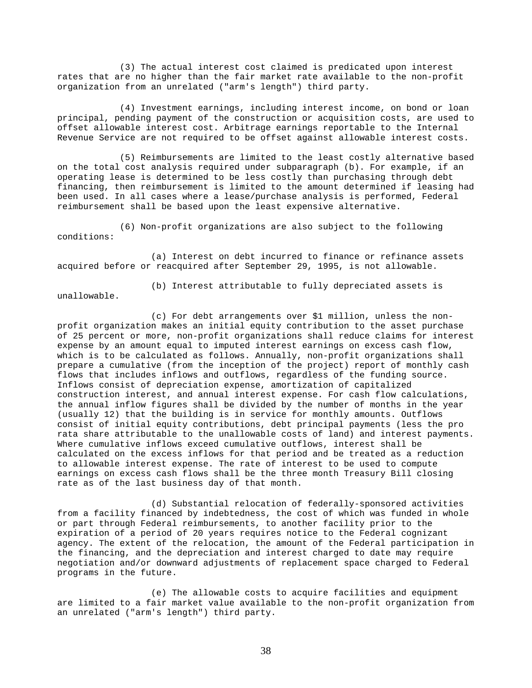(3) The actual interest cost claimed is predicated upon interest rates that are no higher than the fair market rate available to the non-profit organization from an unrelated ("arm's length") third party.

 (4) Investment earnings, including interest income, on bond or loan principal, pending payment of the construction or acquisition costs, are used to offset allowable interest cost. Arbitrage earnings reportable to the Internal Revenue Service are not required to be offset against allowable interest costs.

 (5) Reimbursements are limited to the least costly alternative based on the total cost analysis required under subparagraph (b). For example, if an operating lease is determined to be less costly than purchasing through debt financing, then reimbursement is limited to the amount determined if leasing had been used. In all cases where a lease/purchase analysis is performed, Federal reimbursement shall be based upon the least expensive alternative.

 (6) Non-profit organizations are also subject to the following conditions:

 (a) Interest on debt incurred to finance or refinance assets acquired before or reacquired after September 29, 1995, is not allowable.

unallowable.

(b) Interest attributable to fully depreciated assets is

 (c) For debt arrangements over \$1 million, unless the nonprofit organization makes an initial equity contribution to the asset purchase of 25 percent or more, non-profit organizations shall reduce claims for interest expense by an amount equal to imputed interest earnings on excess cash flow, which is to be calculated as follows. Annually, non-profit organizations shall prepare a cumulative (from the inception of the project) report of monthly cash flows that includes inflows and outflows, regardless of the funding source. Inflows consist of depreciation expense, amortization of capitalized construction interest, and annual interest expense. For cash flow calculations, the annual inflow figures shall be divided by the number of months in the year (usually 12) that the building is in service for monthly amounts. Outflows consist of initial equity contributions, debt principal payments (less the pro rata share attributable to the unallowable costs of land) and interest payments. Where cumulative inflows exceed cumulative outflows, interest shall be calculated on the excess inflows for that period and be treated as a reduction to allowable interest expense. The rate of interest to be used to compute earnings on excess cash flows shall be the three month Treasury Bill closing rate as of the last business day of that month.

 (d) Substantial relocation of federally-sponsored activities from a facility financed by indebtedness, the cost of which was funded in whole or part through Federal reimbursements, to another facility prior to the expiration of a period of 20 years requires notice to the Federal cognizant agency. The extent of the relocation, the amount of the Federal participation in the financing, and the depreciation and interest charged to date may require negotiation and/or downward adjustments of replacement space charged to Federal programs in the future.

 (e) The allowable costs to acquire facilities and equipment are limited to a fair market value available to the non-profit organization from an unrelated ("arm's length") third party.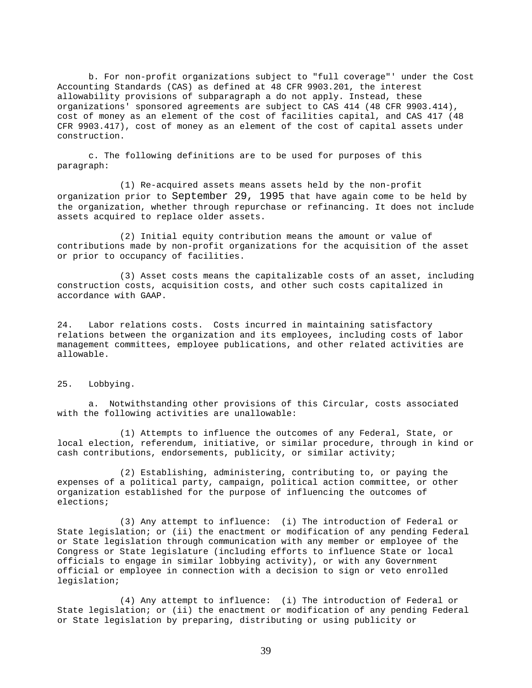b. For non-profit organizations subject to "full coverage"' under the Cost Accounting Standards (CAS) as defined at 48 CFR 9903.201, the interest allowability provisions of subparagraph a do not apply. Instead, these organizations' sponsored agreements are subject to CAS 414 (48 CFR 9903.414), cost of money as an element of the cost of facilities capital, and CAS 417 (48 CFR 9903.417), cost of money as an element of the cost of capital assets under construction.

 c. The following definitions are to be used for purposes of this paragraph:

 (1) Re-acquired assets means assets held by the non-profit organization prior to September 29, 1995 that have again come to be held by the organization, whether through repurchase or refinancing. It does not include assets acquired to replace older assets.

 (2) Initial equity contribution means the amount or value of contributions made by non-profit organizations for the acquisition of the asset or prior to occupancy of facilities.

 (3) Asset costs means the capitalizable costs of an asset, including construction costs, acquisition costs, and other such costs capitalized in accordance with GAAP.

24. Labor relations costs. Costs incurred in maintaining satisfactory relations between the organization and its employees, including costs of labor management committees, employee publications, and other related activities are allowable.

# 25. Lobbying.

a. Notwithstanding other provisions of this Circular, costs associated with the following activities are unallowable:

(1) Attempts to influence the outcomes of any Federal, State, or local election, referendum, initiative, or similar procedure, through in kind or cash contributions, endorsements, publicity, or similar activity;

(2) Establishing, administering, contributing to, or paying the expenses of a political party, campaign, political action committee, or other organization established for the purpose of influencing the outcomes of elections;

(3) Any attempt to influence: (i) The introduction of Federal or State legislation; or (ii) the enactment or modification of any pending Federal or State legislation through communication with any member or employee of the Congress or State legislature (including efforts to influence State or local officials to engage in similar lobbying activity), or with any Government official or employee in connection with a decision to sign or veto enrolled legislation;

(4) Any attempt to influence: (i) The introduction of Federal or State legislation; or (ii) the enactment or modification of any pending Federal or State legislation by preparing, distributing or using publicity or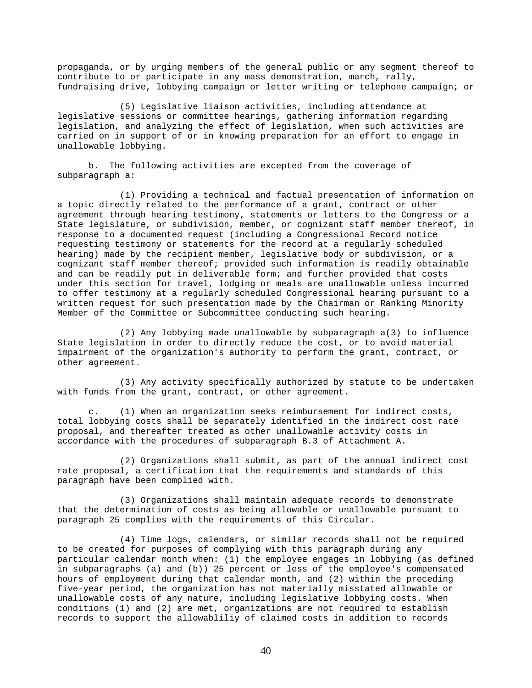propaganda, or by urging members of the general public or any segment thereof to contribute to or participate in any mass demonstration, march, rally, fundraising drive, lobbying campaign or letter writing or telephone campaign; or

(5) Legislative liaison activities, including attendance at legislative sessions or committee hearings, gathering information regarding legislation, and analyzing the effect of legislation, when such activities are carried on in support of or in knowing preparation for an effort to engage in unallowable lobbying.

b. The following activities are excepted from the coverage of subparagraph a:

(1) Providing a technical and factual presentation of information on a topic directly related to the performance of a grant, contract or other agreement through hearing testimony, statements or letters to the Congress or a State legislature, or subdivision, member, or cognizant staff member thereof, in response to a documented request (including a Congressional Record notice requesting testimony or statements for the record at a regularly scheduled hearing) made by the recipient member, legislative body or subdivision, or a cognizant staff member thereof; provided such information is readily obtainable and can be readily put in deliverable form; and further provided that costs under this section for travel, lodging or meals are unallowable unless incurred to offer testimony at a regularly scheduled Congressional hearing pursuant to a written request for such presentation made by the Chairman or Ranking Minority Member of the Committee or Subcommittee conducting such hearing.

(2) Any lobbying made unallowable by subparagraph a(3) to influence State legislation in order to directly reduce the cost, or to avoid material impairment of the organization's authority to perform the grant, contract, or other agreement.

(3) Any activity specifically authorized by statute to be undertaken with funds from the grant, contract, or other agreement.

c. (1) When an organization seeks reimbursement for indirect costs, total lobbying costs shall be separately identified in the indirect cost rate proposal, and thereafter treated as other unallowable activity costs in accordance with the procedures of subparagraph B.3 of Attachment A.

(2) Organizations shall submit, as part of the annual indirect cost rate proposal, a certification that the requirements and standards of this paragraph have been complied with.

(3) Organizations shall maintain adequate records to demonstrate that the determination of costs as being allowable or unallowable pursuant to paragraph 25 complies with the requirements of this Circular.

(4) Time logs, calendars, or similar records shall not be required to be created for purposes of complying with this paragraph during any particular calendar month when: (1) the employee engages in lobbying (as defined in subparagraphs (a) and (b)) 25 percent or less of the employee's compensated hours of employment during that calendar month, and (2) within the preceding five-year period, the organization has not materially misstated allowable or unallowable costs of any nature, including legislative lobbying costs. When conditions (1) and (2) are met, organizations are not required to establish records to support the allowabliliy of claimed costs in addition to records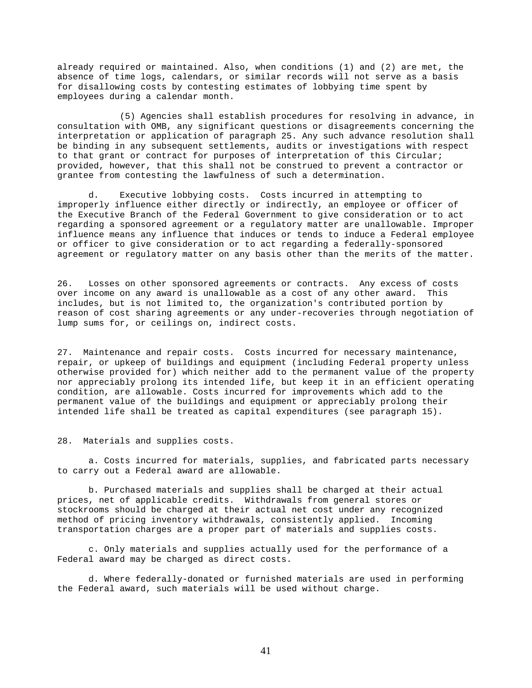already required or maintained. Also, when conditions (1) and (2) are met, the absence of time logs, calendars, or similar records will not serve as a basis for disallowing costs by contesting estimates of lobbying time spent by employees during a calendar month.

(5) Agencies shall establish procedures for resolving in advance, in consultation with OMB, any significant questions or disagreements concerning the interpretation or application of paragraph 25. Any such advance resolution shall be binding in any subsequent settlements, audits or investigations with respect to that grant or contract for purposes of interpretation of this Circular; provided, however, that this shall not be construed to prevent a contractor or grantee from contesting the lawfulness of such a determination.

d.Executive lobbying costs. Costs incurred in attempting to improperly influence either directly or indirectly, an employee or officer of the Executive Branch of the Federal Government to give consideration or to act regarding a sponsored agreement or a regulatory matter are unallowable. Improper influence means any influence that induces or tends to induce a Federal employee or officer to give consideration or to act regarding a federally-sponsored agreement or regulatory matter on any basis other than the merits of the matter.

26. Losses on other sponsored agreements or contracts. Any excess of costs over income on any award is unallowable as a cost of any other award. This includes, but is not limited to, the organization's contributed portion by reason of cost sharing agreements or any under-recoveries through negotiation of lump sums for, or ceilings on, indirect costs.

27. Maintenance and repair costs. Costs incurred for necessary maintenance, repair, or upkeep of buildings and equipment (including Federal property unless otherwise provided for) which neither add to the permanent value of the property nor appreciably prolong its intended life, but keep it in an efficient operating condition, are allowable. Costs incurred for improvements which add to the permanent value of the buildings and equipment or appreciably prolong their intended life shall be treated as capital expenditures (see paragraph 15).

28. Materials and supplies costs.

 a. Costs incurred for materials, supplies, and fabricated parts necessary to carry out a Federal award are allowable.

 b. Purchased materials and supplies shall be charged at their actual prices, net of applicable credits. Withdrawals from general stores or stockrooms should be charged at their actual net cost under any recognized method of pricing inventory withdrawals, consistently applied. Incoming transportation charges are a proper part of materials and supplies costs.

 c. Only materials and supplies actually used for the performance of a Federal award may be charged as direct costs.

 d. Where federally-donated or furnished materials are used in performing the Federal award, such materials will be used without charge.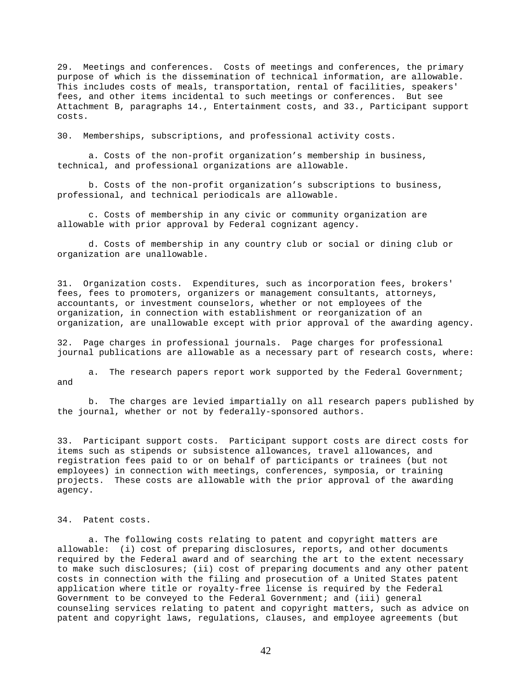29. Meetings and conferences. Costs of meetings and conferences, the primary purpose of which is the dissemination of technical information, are allowable. This includes costs of meals, transportation, rental of facilities, speakers' fees, and other items incidental to such meetings or conferences. But see Attachment B, paragraphs 14., Entertainment costs, and 33., Participant support costs.

30. Memberships, subscriptions, and professional activity costs.

 a. Costs of the non-profit organization's membership in business, technical, and professional organizations are allowable.

 b. Costs of the non-profit organization's subscriptions to business, professional, and technical periodicals are allowable.

 c. Costs of membership in any civic or community organization are allowable with prior approval by Federal cognizant agency.

 d. Costs of membership in any country club or social or dining club or organization are unallowable.

31. Organization costs. Expenditures, such as incorporation fees, brokers' fees, fees to promoters, organizers or management consultants, attorneys, accountants, or investment counselors, whether or not employees of the organization, in connection with establishment or reorganization of an organization, are unallowable except with prior approval of the awarding agency.

32. Page charges in professional journals. Page charges for professional journal publications are allowable as a necessary part of research costs, where:

a. The research papers report work supported by the Federal Government; and

b. The charges are levied impartially on all research papers published by the journal, whether or not by federally-sponsored authors.

33. Participant support costs. Participant support costs are direct costs for items such as stipends or subsistence allowances, travel allowances, and registration fees paid to or on behalf of participants or trainees (but not employees) in connection with meetings, conferences, symposia, or training projects. These costs are allowable with the prior approval of the awarding agency.

### 34. Patent costs.

a. The following costs relating to patent and copyright matters are allowable: (i) cost of preparing disclosures, reports, and other documents required by the Federal award and of searching the art to the extent necessary to make such disclosures; (ii) cost of preparing documents and any other patent costs in connection with the filing and prosecution of a United States patent application where title or royalty-free license is required by the Federal Government to be conveyed to the Federal Government; and (iii) general counseling services relating to patent and copyright matters, such as advice on patent and copyright laws, regulations, clauses, and employee agreements (but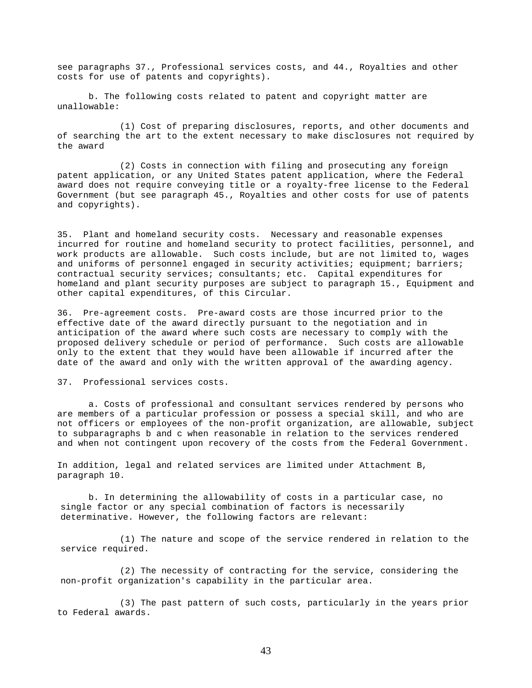see paragraphs 37., Professional services costs, and 44., Royalties and other costs for use of patents and copyrights).

 b. The following costs related to patent and copyright matter are unallowable:

 (1) Cost of preparing disclosures, reports, and other documents and of searching the art to the extent necessary to make disclosures not required by the award

 (2) Costs in connection with filing and prosecuting any foreign patent application, or any United States patent application, where the Federal award does not require conveying title or a royalty-free license to the Federal Government (but see paragraph 45., Royalties and other costs for use of patents and copyrights).

35. Plant and homeland security costs. Necessary and reasonable expenses incurred for routine and homeland security to protect facilities, personnel, and work products are allowable. Such costs include, but are not limited to, wages and uniforms of personnel engaged in security activities; equipment; barriers; contractual security services; consultants; etc. Capital expenditures for homeland and plant security purposes are subject to paragraph 15., Equipment and other capital expenditures, of this Circular.

36. Pre-agreement costs. Pre-award costs are those incurred prior to the effective date of the award directly pursuant to the negotiation and in anticipation of the award where such costs are necessary to comply with the proposed delivery schedule or period of performance. Such costs are allowable only to the extent that they would have been allowable if incurred after the date of the award and only with the written approval of the awarding agency.

37. Professional services costs.

a. Costs of professional and consultant services rendered by persons who are members of a particular profession or possess a special skill, and who are not officers or employees of the non-profit organization, are allowable, subject to subparagraphs b and c when reasonable in relation to the services rendered and when not contingent upon recovery of the costs from the Federal Government.

In addition, legal and related services are limited under Attachment B, paragraph 10.

 b. In determining the allowability of costs in a particular case, no single factor or any special combination of factors is necessarily determinative. However, the following factors are relevant:

 (1) The nature and scope of the service rendered in relation to the service required.

 (2) The necessity of contracting for the service, considering the non-profit organization's capability in the particular area.

 (3) The past pattern of such costs, particularly in the years prior to Federal awards.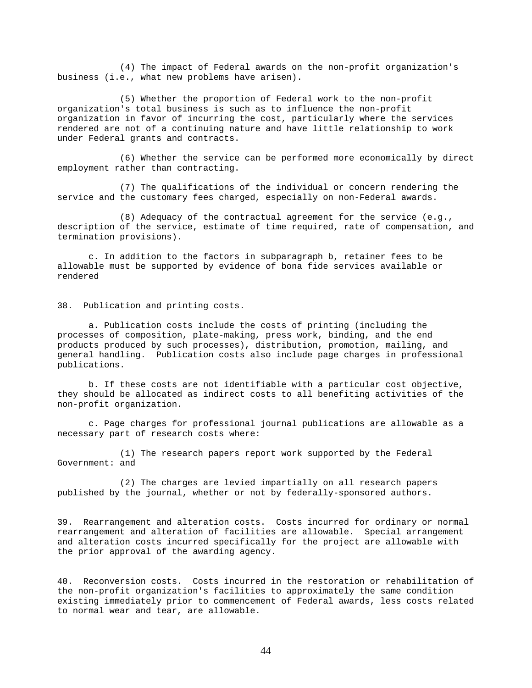(4) The impact of Federal awards on the non-profit organization's business (i.e., what new problems have arisen).

 (5) Whether the proportion of Federal work to the non-profit organization's total business is such as to influence the non-profit organization in favor of incurring the cost, particularly where the services rendered are not of a continuing nature and have little relationship to work under Federal grants and contracts.

 (6) Whether the service can be performed more economically by direct employment rather than contracting.

 (7) The qualifications of the individual or concern rendering the service and the customary fees charged, especially on non-Federal awards.

 (8) Adequacy of the contractual agreement for the service (e.g., description of the service, estimate of time required, rate of compensation, and termination provisions).

 c. In addition to the factors in subparagraph b, retainer fees to be allowable must be supported by evidence of bona fide services available or rendered

38. Publication and printing costs.

 a. Publication costs include the costs of printing (including the processes of composition, plate-making, press work, binding, and the end products produced by such processes), distribution, promotion, mailing, and general handling. Publication costs also include page charges in professional publications.

 b. If these costs are not identifiable with a particular cost objective, they should be allocated as indirect costs to all benefiting activities of the non-profit organization.

 c. Page charges for professional journal publications are allowable as a necessary part of research costs where:

 (1) The research papers report work supported by the Federal Government: and

 (2) The charges are levied impartially on all research papers published by the journal, whether or not by federally-sponsored authors.

39. Rearrangement and alteration costs. Costs incurred for ordinary or normal rearrangement and alteration of facilities are allowable. Special arrangement and alteration costs incurred specifically for the project are allowable with the prior approval of the awarding agency.

40. Reconversion costs. Costs incurred in the restoration or rehabilitation of the non-profit organization's facilities to approximately the same condition existing immediately prior to commencement of Federal awards, less costs related to normal wear and tear, are allowable.

44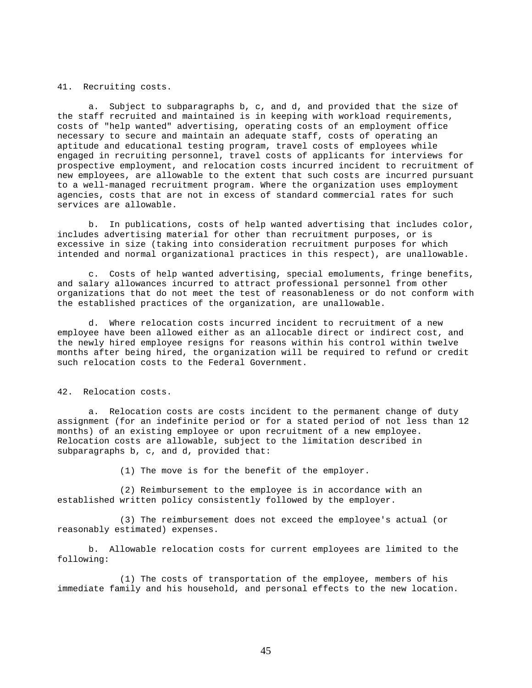41. Recruiting costs.

a. Subject to subparagraphs b, c, and d, and provided that the size of the staff recruited and maintained is in keeping with workload requirements, costs of "help wanted" advertising, operating costs of an employment office necessary to secure and maintain an adequate staff, costs of operating an aptitude and educational testing program, travel costs of employees while engaged in recruiting personnel, travel costs of applicants for interviews for prospective employment, and relocation costs incurred incident to recruitment of new employees, are allowable to the extent that such costs are incurred pursuant to a well-managed recruitment program. Where the organization uses employment agencies, costs that are not in excess of standard commercial rates for such services are allowable.

b. In publications, costs of help wanted advertising that includes color, includes advertising material for other than recruitment purposes, or is excessive in size (taking into consideration recruitment purposes for which intended and normal organizational practices in this respect), are unallowable.

c. Costs of help wanted advertising, special emoluments, fringe benefits, and salary allowances incurred to attract professional personnel from other organizations that do not meet the test of reasonableness or do not conform with the established practices of the organization, are unallowable.

d. Where relocation costs incurred incident to recruitment of a new employee have been allowed either as an allocable direct or indirect cost, and the newly hired employee resigns for reasons within his control within twelve months after being hired, the organization will be required to refund or credit such relocation costs to the Federal Government.

42. Relocation costs.

a. Relocation costs are costs incident to the permanent change of duty assignment (for an indefinite period or for a stated period of not less than 12 months) of an existing employee or upon recruitment of a new employee. Relocation costs are allowable, subject to the limitation described in subparagraphs b, c, and d, provided that:

(1) The move is for the benefit of the employer.

(2) Reimbursement to the employee is in accordance with an established written policy consistently followed by the employer.

(3) The reimbursement does not exceed the employee's actual (or reasonably estimated) expenses.

b. Allowable relocation costs for current employees are limited to the following:

(1) The costs of transportation of the employee, members of his immediate family and his household, and personal effects to the new location.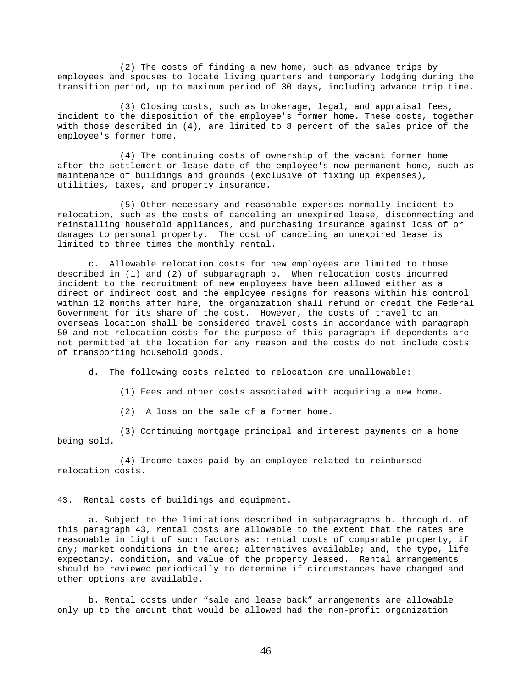(2) The costs of finding a new home, such as advance trips by employees and spouses to locate living quarters and temporary lodging during the transition period, up to maximum period of 30 days, including advance trip time.

(3) Closing costs, such as brokerage, legal, and appraisal fees, incident to the disposition of the employee's former home. These costs, together with those described in (4), are limited to 8 percent of the sales price of the employee's former home.

(4) The continuing costs of ownership of the vacant former home after the settlement or lease date of the employee's new permanent home, such as maintenance of buildings and grounds (exclusive of fixing up expenses), utilities, taxes, and property insurance.

(5) Other necessary and reasonable expenses normally incident to relocation, such as the costs of canceling an unexpired lease, disconnecting and reinstalling household appliances, and purchasing insurance against loss of or damages to personal property. The cost of canceling an unexpired lease is limited to three times the monthly rental.

c. Allowable relocation costs for new employees are limited to those described in (1) and (2) of subparagraph b. When relocation costs incurred incident to the recruitment of new employees have been allowed either as a direct or indirect cost and the employee resigns for reasons within his control within 12 months after hire, the organization shall refund or credit the Federal Government for its share of the cost. However, the costs of travel to an overseas location shall be considered travel costs in accordance with paragraph 50 and not relocation costs for the purpose of this paragraph if dependents are not permitted at the location for any reason and the costs do not include costs of transporting household goods.

d. The following costs related to relocation are unallowable:

(1) Fees and other costs associated with acquiring a new home.

(2) A loss on the sale of a former home.

(3) Continuing mortgage principal and interest payments on a home being sold.

(4) Income taxes paid by an employee related to reimbursed relocation costs.

43. Rental costs of buildings and equipment.

 a. Subject to the limitations described in subparagraphs b. through d. of this paragraph 43, rental costs are allowable to the extent that the rates are reasonable in light of such factors as: rental costs of comparable property, if any; market conditions in the area; alternatives available; and, the type, life expectancy, condition, and value of the property leased. Rental arrangements should be reviewed periodically to determine if circumstances have changed and other options are available.

 b. Rental costs under "sale and lease back" arrangements are allowable only up to the amount that would be allowed had the non-profit organization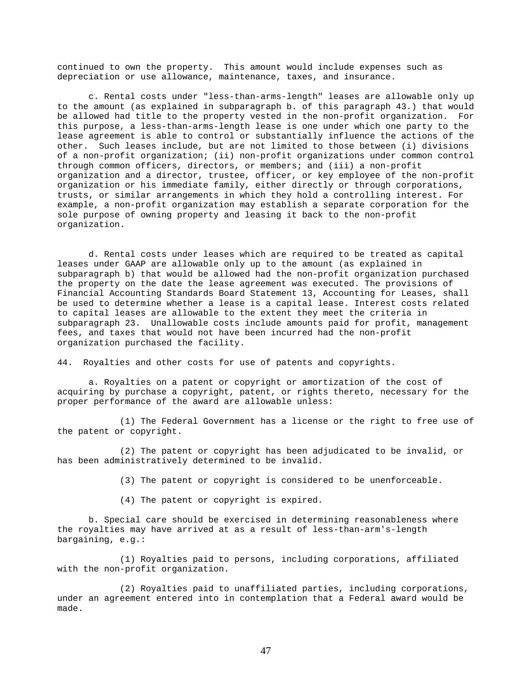continued to own the property. This amount would include expenses such as depreciation or use allowance, maintenance, taxes, and insurance.

 c. Rental costs under "less-than-arms-length" leases are allowable only up to the amount (as explained in subparagraph b. of this paragraph 43.) that would be allowed had title to the property vested in the non-profit organization. For this purpose, a less-than-arms-length lease is one under which one party to the lease agreement is able to control or substantially influence the actions of the other. Such leases include, but are not limited to those between (i) divisions of a non-profit organization; (ii) non-profit organizations under common control through common officers, directors, or members; and (iii) a non-profit organization and a director, trustee, officer, or key employee of the non-profit organization or his immediate family, either directly or through corporations, trusts, or similar arrangements in which they hold a controlling interest. For example, a non-profit organization may establish a separate corporation for the sole purpose of owning property and leasing it back to the non-profit organization.

 d. Rental costs under leases which are required to be treated as capital leases under GAAP are allowable only up to the amount (as explained in subparagraph b) that would be allowed had the non-profit organization purchased the property on the date the lease agreement was executed. The provisions of Financial Accounting Standards Board Statement 13, Accounting for Leases, shall be used to determine whether a lease is a capital lease. Interest costs related to capital leases are allowable to the extent they meet the criteria in subparagraph 23. Unallowable costs include amounts paid for profit, management fees, and taxes that would not have been incurred had the non-profit organization purchased the facility.

44. Royalties and other costs for use of patents and copyrights.

a. Royalties on a patent or copyright or amortization of the cost of acquiring by purchase a copyright, patent, or rights thereto, necessary for the proper performance of the award are allowable unless:

 (1) The Federal Government has a license or the right to free use of the patent or copyright.

 (2) The patent or copyright has been adjudicated to be invalid, or has been administratively determined to be invalid.

(3) The patent or copyright is considered to be unenforceable.

(4) The patent or copyright is expired.

 b. Special care should be exercised in determining reasonableness where the royalties may have arrived at as a result of less-than-arm's-length bargaining, e.g.:

 (1) Royalties paid to persons, including corporations, affiliated with the non-profit organization.

 (2) Royalties paid to unaffiliated parties, including corporations, under an agreement entered into in contemplation that a Federal award would be made.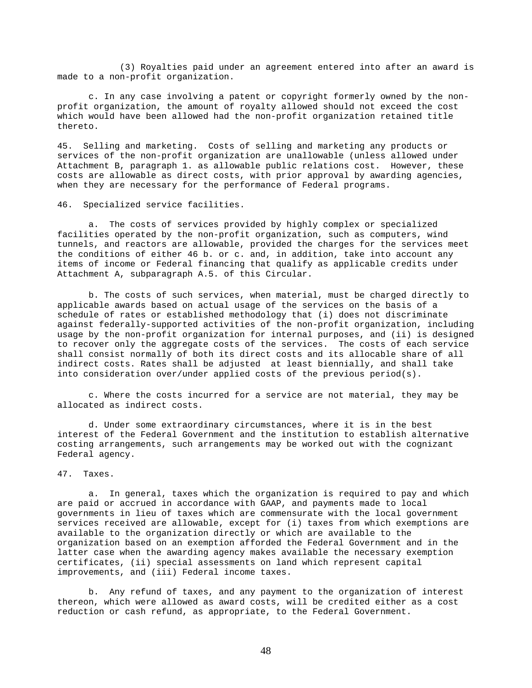(3) Royalties paid under an agreement entered into after an award is made to a non-profit organization.

 c. In any case involving a patent or copyright formerly owned by the nonprofit organization, the amount of royalty allowed should not exceed the cost which would have been allowed had the non-profit organization retained title thereto.

45. Selling and marketing. Costs of selling and marketing any products or services of the non-profit organization are unallowable (unless allowed under Attachment B, paragraph 1. as allowable public relations cost. However, these costs are allowable as direct costs, with prior approval by awarding agencies, when they are necessary for the performance of Federal programs.

46. Specialized service facilities.

 a. The costs of services provided by highly complex or specialized facilities operated by the non-profit organization, such as computers, wind tunnels, and reactors are allowable, provided the charges for the services meet the conditions of either 46 b. or c. and, in addition, take into account any items of income or Federal financing that qualify as applicable credits under Attachment A, subparagraph A.5. of this Circular.

 b. The costs of such services, when material, must be charged directly to applicable awards based on actual usage of the services on the basis of a schedule of rates or established methodology that (i) does not discriminate against federally-supported activities of the non-profit organization, including usage by the non-profit organization for internal purposes, and (ii) is designed to recover only the aggregate costs of the services. The costs of each service shall consist normally of both its direct costs and its allocable share of all indirect costs. Rates shall be adjusted at least biennially, and shall take into consideration over/under applied costs of the previous period(s).

 c. Where the costs incurred for a service are not material, they may be allocated as indirect costs.

 d. Under some extraordinary circumstances, where it is in the best interest of the Federal Government and the institution to establish alternative costing arrangements, such arrangements may be worked out with the cognizant Federal agency.

47. Taxes.

a. In general, taxes which the organization is required to pay and which are paid or accrued in accordance with GAAP, and payments made to local governments in lieu of taxes which are commensurate with the local government services received are allowable, except for (i) taxes from which exemptions are available to the organization directly or which are available to the organization based on an exemption afforded the Federal Government and in the latter case when the awarding agency makes available the necessary exemption certificates, (ii) special assessments on land which represent capital improvements, and (iii) Federal income taxes.

b. Any refund of taxes, and any payment to the organization of interest thereon, which were allowed as award costs, will be credited either as a cost reduction or cash refund, as appropriate, to the Federal Government.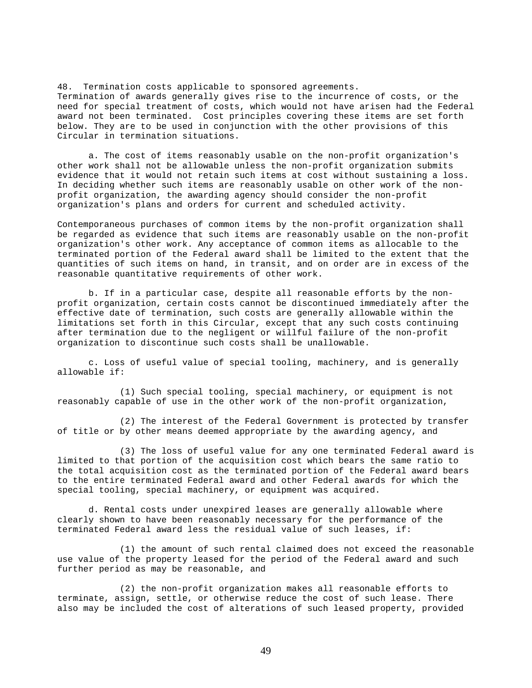48. Termination costs applicable to sponsored agreements. Termination of awards generally gives rise to the incurrence of costs, or the need for special treatment of costs, which would not have arisen had the Federal award not been terminated. Cost principles covering these items are set forth below. They are to be used in conjunction with the other provisions of this Circular in termination situations.

 a. The cost of items reasonably usable on the non-profit organization's other work shall not be allowable unless the non-profit organization submits evidence that it would not retain such items at cost without sustaining a loss. In deciding whether such items are reasonably usable on other work of the nonprofit organization, the awarding agency should consider the non-profit organization's plans and orders for current and scheduled activity.

Contemporaneous purchases of common items by the non-profit organization shall be regarded as evidence that such items are reasonably usable on the non-profit organization's other work. Any acceptance of common items as allocable to the terminated portion of the Federal award shall be limited to the extent that the quantities of such items on hand, in transit, and on order are in excess of the reasonable quantitative requirements of other work.

 b. If in a particular case, despite all reasonable efforts by the nonprofit organization, certain costs cannot be discontinued immediately after the effective date of termination, such costs are generally allowable within the limitations set forth in this Circular, except that any such costs continuing after termination due to the negligent or willful failure of the non-profit organization to discontinue such costs shall be unallowable.

 c. Loss of useful value of special tooling, machinery, and is generally allowable if:

 (1) Such special tooling, special machinery, or equipment is not reasonably capable of use in the other work of the non-profit organization,

 (2) The interest of the Federal Government is protected by transfer of title or by other means deemed appropriate by the awarding agency, and

 (3) The loss of useful value for any one terminated Federal award is limited to that portion of the acquisition cost which bears the same ratio to the total acquisition cost as the terminated portion of the Federal award bears to the entire terminated Federal award and other Federal awards for which the special tooling, special machinery, or equipment was acquired.

 d. Rental costs under unexpired leases are generally allowable where clearly shown to have been reasonably necessary for the performance of the terminated Federal award less the residual value of such leases, if:

 (1) the amount of such rental claimed does not exceed the reasonable use value of the property leased for the period of the Federal award and such further period as may be reasonable, and

 (2) the non-profit organization makes all reasonable efforts to terminate, assign, settle, or otherwise reduce the cost of such lease. There also may be included the cost of alterations of such leased property, provided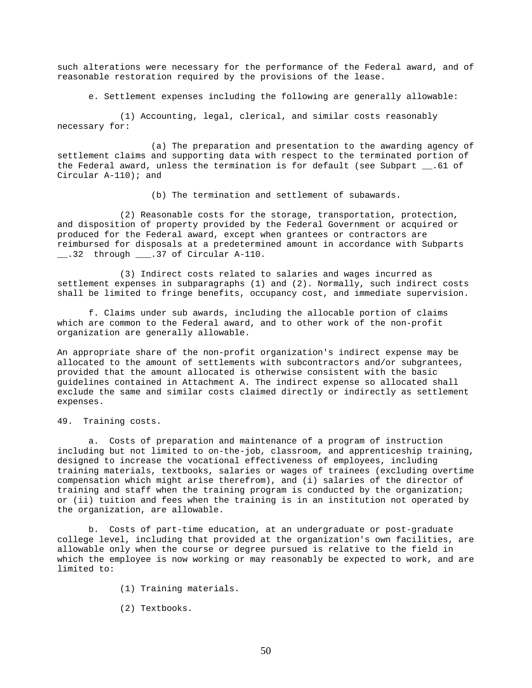such alterations were necessary for the performance of the Federal award, and of reasonable restoration required by the provisions of the lease.

e. Settlement expenses including the following are generally allowable:

 (1) Accounting, legal, clerical, and similar costs reasonably necessary for:

 (a) The preparation and presentation to the awarding agency of settlement claims and supporting data with respect to the terminated portion of the Federal award, unless the termination is for default (see Subpart \_\_.61 of Circular A-110); and

(b) The termination and settlement of subawards.

 (2) Reasonable costs for the storage, transportation, protection, and disposition of property provided by the Federal Government or acquired or produced for the Federal award, except when grantees or contractors are reimbursed for disposals at a predetermined amount in accordance with Subparts \_\_.32 through \_\_\_.37 of Circular A-110.

 (3) Indirect costs related to salaries and wages incurred as settlement expenses in subparagraphs (1) and (2). Normally, such indirect costs shall be limited to fringe benefits, occupancy cost, and immediate supervision.

 f. Claims under sub awards, including the allocable portion of claims which are common to the Federal award, and to other work of the non-profit organization are generally allowable.

An appropriate share of the non-profit organization's indirect expense may be allocated to the amount of settlements with subcontractors and/or subgrantees, provided that the amount allocated is otherwise consistent with the basic guidelines contained in Attachment A. The indirect expense so allocated shall exclude the same and similar costs claimed directly or indirectly as settlement expenses.

49. Training costs.

a. Costs of preparation and maintenance of a program of instruction including but not limited to on-the-job, classroom, and apprenticeship training, designed to increase the vocational effectiveness of employees, including training materials, textbooks, salaries or wages of trainees (excluding overtime compensation which might arise therefrom), and (i) salaries of the director of training and staff when the training program is conducted by the organization; or (ii) tuition and fees when the training is in an institution not operated by the organization, are allowable.

b. Costs of part-time education, at an undergraduate or post-graduate college level, including that provided at the organization's own facilities, are allowable only when the course or degree pursued is relative to the field in which the employee is now working or may reasonably be expected to work, and are limited to:

(1) Training materials.

(2) Textbooks.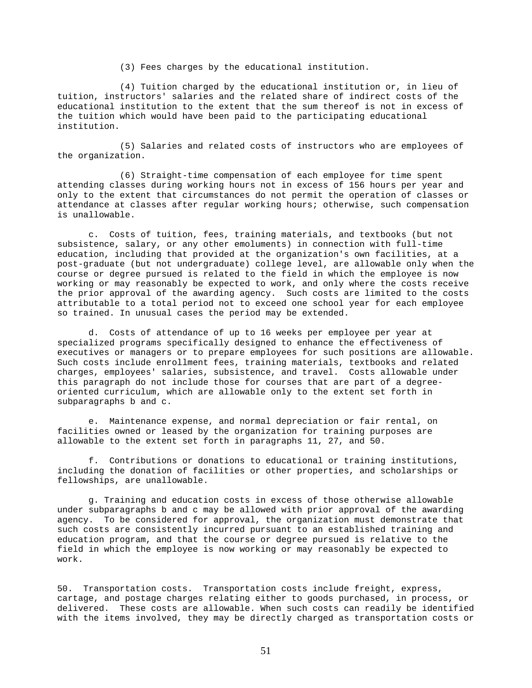(3) Fees charges by the educational institution.

(4) Tuition charged by the educational institution or, in lieu of tuition, instructors' salaries and the related share of indirect costs of the educational institution to the extent that the sum thereof is not in excess of the tuition which would have been paid to the participating educational institution.

(5) Salaries and related costs of instructors who are employees of the organization.

(6) Straight-time compensation of each employee for time spent attending classes during working hours not in excess of 156 hours per year and only to the extent that circumstances do not permit the operation of classes or attendance at classes after regular working hours; otherwise, such compensation is unallowable.

c. Costs of tuition, fees, training materials, and textbooks (but not subsistence, salary, or any other emoluments) in connection with full-time education, including that provided at the organization's own facilities, at a post-graduate (but not undergraduate) college level, are allowable only when the course or degree pursued is related to the field in which the employee is now working or may reasonably be expected to work, and only where the costs receive the prior approval of the awarding agency. Such costs are limited to the costs attributable to a total period not to exceed one school year for each employee so trained. In unusual cases the period may be extended.

d. Costs of attendance of up to 16 weeks per employee per year at specialized programs specifically designed to enhance the effectiveness of executives or managers or to prepare employees for such positions are allowable. Such costs include enrollment fees, training materials, textbooks and related charges, employees' salaries, subsistence, and travel. Costs allowable under this paragraph do not include those for courses that are part of a degreeoriented curriculum, which are allowable only to the extent set forth in subparagraphs b and c.

e. Maintenance expense, and normal depreciation or fair rental, on facilities owned or leased by the organization for training purposes are allowable to the extent set forth in paragraphs 11, 27, and 50.

f. Contributions or donations to educational or training institutions, including the donation of facilities or other properties, and scholarships or fellowships, are unallowable.

g. Training and education costs in excess of those otherwise allowable under subparagraphs b and c may be allowed with prior approval of the awarding agency. To be considered for approval, the organization must demonstrate that such costs are consistently incurred pursuant to an established training and education program, and that the course or degree pursued is relative to the field in which the employee is now working or may reasonably be expected to work.

50. Transportation costs. Transportation costs include freight, express, cartage, and postage charges relating either to goods purchased, in process, or delivered. These costs are allowable. When such costs can readily be identified with the items involved, they may be directly charged as transportation costs or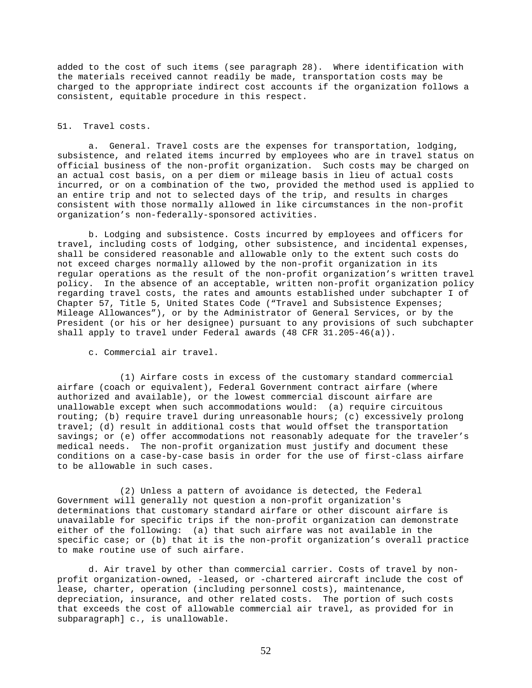added to the cost of such items (see paragraph 28). Where identification with the materials received cannot readily be made, transportation costs may be charged to the appropriate indirect cost accounts if the organization follows a consistent, equitable procedure in this respect.

### 51. Travel costs.

a. General. Travel costs are the expenses for transportation, lodging, subsistence, and related items incurred by employees who are in travel status on official business of the non-profit organization. Such costs may be charged on an actual cost basis, on a per diem or mileage basis in lieu of actual costs incurred, or on a combination of the two, provided the method used is applied to an entire trip and not to selected days of the trip, and results in charges consistent with those normally allowed in like circumstances in the non-profit organization's non-federally-sponsored activities.

 b. Lodging and subsistence. Costs incurred by employees and officers for travel, including costs of lodging, other subsistence, and incidental expenses, shall be considered reasonable and allowable only to the extent such costs do not exceed charges normally allowed by the non-profit organization in its regular operations as the result of the non-profit organization's written travel policy. In the absence of an acceptable, written non-profit organization policy regarding travel costs, the rates and amounts established under subchapter I of Chapter 57, Title 5, United States Code ("Travel and Subsistence Expenses; Mileage Allowances"), or by the Administrator of General Services, or by the President (or his or her designee) pursuant to any provisions of such subchapter shall apply to travel under Federal awards (48 CFR 31.205-46(a)).

c. Commercial air travel.

 (1) Airfare costs in excess of the customary standard commercial airfare (coach or equivalent), Federal Government contract airfare (where authorized and available), or the lowest commercial discount airfare are unallowable except when such accommodations would: (a) require circuitous routing; (b) require travel during unreasonable hours; (c) excessively prolong travel; (d) result in additional costs that would offset the transportation savings; or (e) offer accommodations not reasonably adequate for the traveler's medical needs. The non-profit organization must justify and document these conditions on a case-by-case basis in order for the use of first-class airfare to be allowable in such cases.

 (2) Unless a pattern of avoidance is detected, the Federal Government will generally not question a non-profit organization's determinations that customary standard airfare or other discount airfare is unavailable for specific trips if the non-profit organization can demonstrate either of the following: (a) that such airfare was not available in the specific case; or (b) that it is the non-profit organization's overall practice to make routine use of such airfare.

 d. Air travel by other than commercial carrier. Costs of travel by nonprofit organization-owned, -leased, or -chartered aircraft include the cost of lease, charter, operation (including personnel costs), maintenance, depreciation, insurance, and other related costs. The portion of such costs that exceeds the cost of allowable commercial air travel, as provided for in subparagraph] c., is unallowable.

52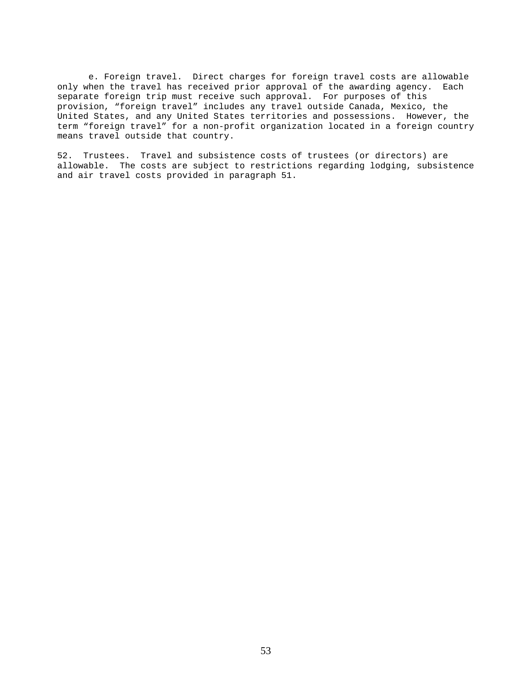e. Foreign travel. Direct charges for foreign travel costs are allowable only when the travel has received prior approval of the awarding agency. Each separate foreign trip must receive such approval. For purposes of this provision, "foreign travel" includes any travel outside Canada, Mexico, the United States, and any United States territories and possessions. However, the term "foreign travel" for a non-profit organization located in a foreign country means travel outside that country.

52. Trustees. Travel and subsistence costs of trustees (or directors) are allowable. The costs are subject to restrictions regarding lodging, subsistence and air travel costs provided in paragraph 51.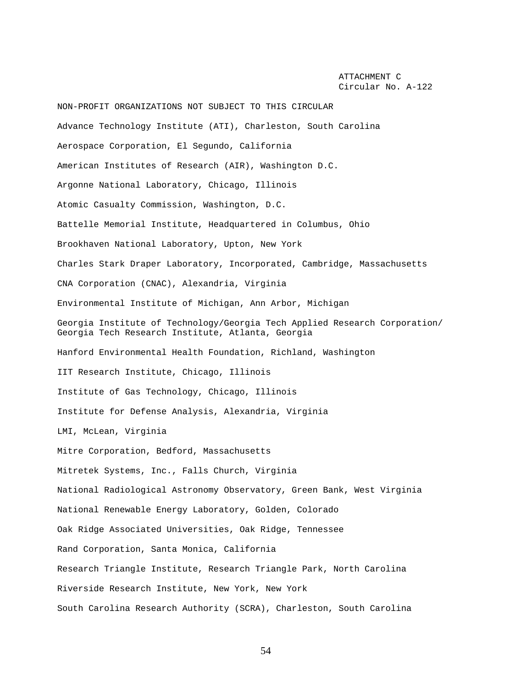Circular No. A-122 NON-PROFIT ORGANIZATIONS NOT SUBJECT TO THIS CIRCULAR Advance Technology Institute (ATI), Charleston, South Carolina Aerospace Corporation, El Segundo, California American Institutes of Research (AIR), Washington D.C. Argonne National Laboratory, Chicago, Illinois Atomic Casualty Commission, Washington, D.C. Battelle Memorial Institute, Headquartered in Columbus, Ohio Brookhaven National Laboratory, Upton, New York Charles Stark Draper Laboratory, Incorporated, Cambridge, Massachusetts CNA Corporation (CNAC), Alexandria, Virginia Environmental Institute of Michigan, Ann Arbor, Michigan Georgia Institute of Technology/Georgia Tech Applied Research Corporation/ Georgia Tech Research Institute, Atlanta, Georgia Hanford Environmental Health Foundation, Richland, Washington IIT Research Institute, Chicago, Illinois Institute of Gas Technology, Chicago, Illinois Institute for Defense Analysis, Alexandria, Virginia LMI, McLean, Virginia Mitre Corporation, Bedford, Massachusetts Mitretek Systems, Inc., Falls Church, Virginia National Radiological Astronomy Observatory, Green Bank, West Virginia National Renewable Energy Laboratory, Golden, Colorado Oak Ridge Associated Universities, Oak Ridge, Tennessee Rand Corporation, Santa Monica, California Research Triangle Institute, Research Triangle Park, North Carolina Riverside Research Institute, New York, New York South Carolina Research Authority (SCRA), Charleston, South Carolina

ATTACHMENT C

54